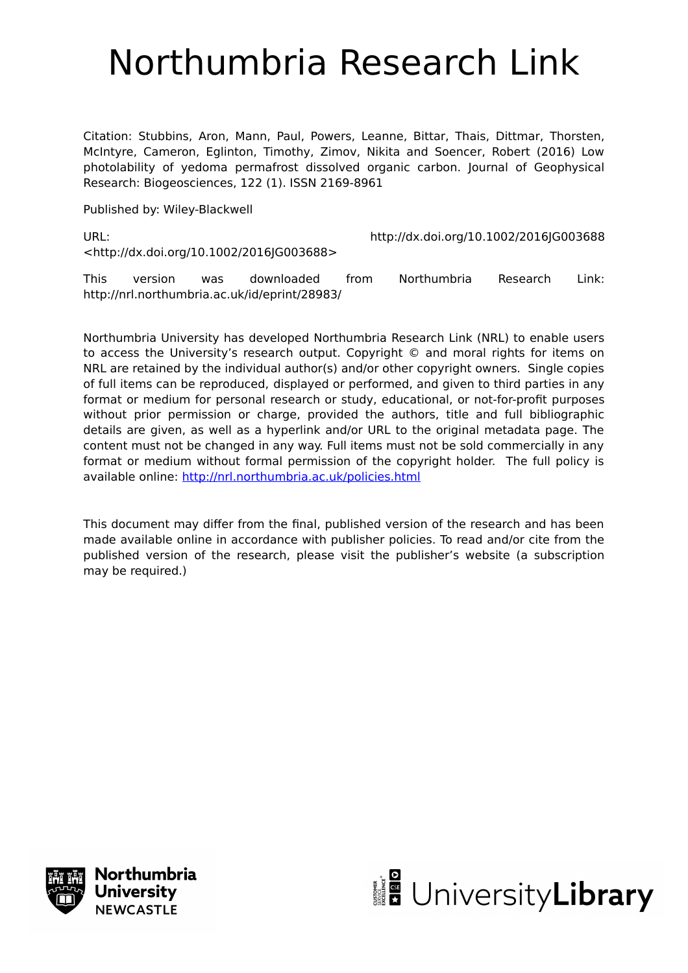# Northumbria Research Link

Citation: Stubbins, Aron, Mann, Paul, Powers, Leanne, Bittar, Thais, Dittmar, Thorsten, McIntyre, Cameron, Eglinton, Timothy, Zimov, Nikita and Soencer, Robert (2016) Low photolability of yedoma permafrost dissolved organic carbon. Journal of Geophysical Research: Biogeosciences, 122 (1). ISSN 2169-8961

Published by: Wiley-Blackwell

URL: http://dx.doi.org/10.1002/2016JG003688 <http://dx.doi.org/10.1002/2016JG003688>

This version was downloaded from Northumbria Research Link: http://nrl.northumbria.ac.uk/id/eprint/28983/

Northumbria University has developed Northumbria Research Link (NRL) to enable users to access the University's research output. Copyright © and moral rights for items on NRL are retained by the individual author(s) and/or other copyright owners. Single copies of full items can be reproduced, displayed or performed, and given to third parties in any format or medium for personal research or study, educational, or not-for-profit purposes without prior permission or charge, provided the authors, title and full bibliographic details are given, as well as a hyperlink and/or URL to the original metadata page. The content must not be changed in any way. Full items must not be sold commercially in any format or medium without formal permission of the copyright holder. The full policy is available online:<http://nrl.northumbria.ac.uk/policies.html>

This document may differ from the final, published version of the research and has been made available online in accordance with publisher policies. To read and/or cite from the published version of the research, please visit the publisher's website (a subscription may be required.)



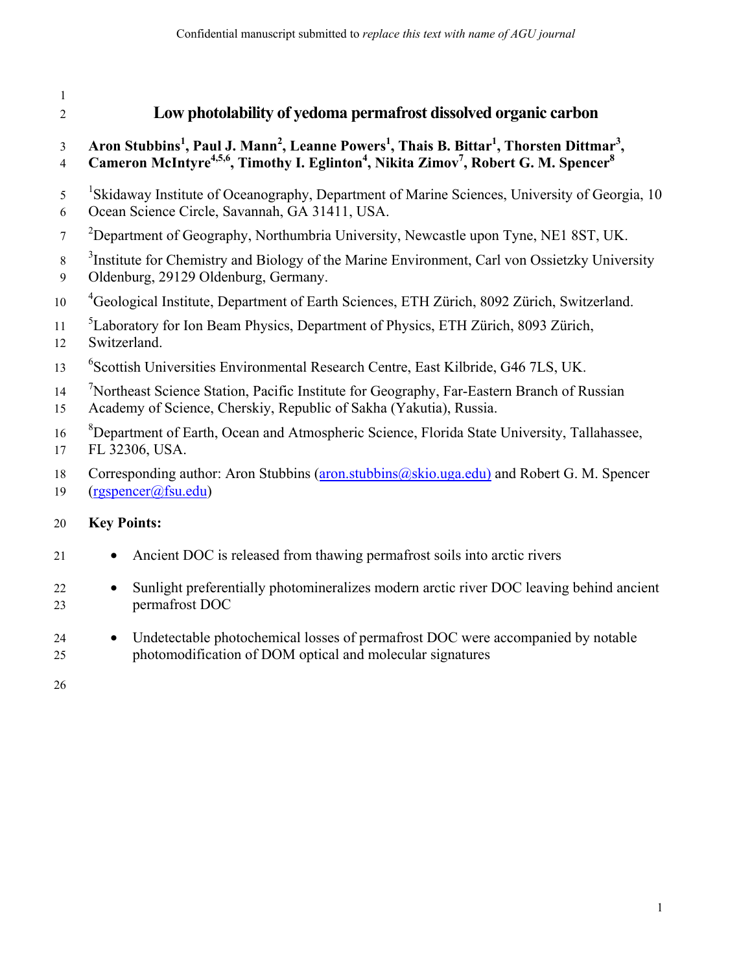# 1 2 **Low photolability of yedoma permafrost dissolved organic carbon 3** Aron Stubbins<sup>1</sup>, Paul J. Mann<sup>2</sup>, Leanne Powers<sup>1</sup>, Thais B. Bittar<sup>1</sup>, Thorsten Dittmar<sup>3</sup>, 4 Cameron McIntyre<sup>4,5,6</sup>, Timothy I. Eglinton<sup>4</sup>, Nikita Zimov<sup>7</sup>, Robert G. M. Spencer<sup>8</sup> <sup>1</sup> Skidaway Institute of Oceanography, Department of Marine Sciences, University of Georgia, 10 6 Ocean Science Circle, Savannah, GA 31411, USA.  $2^2$  Department of Geography, Northumbria University, Newcastle upon Tyne, NE1 8ST, UK. <sup>3</sup> Institute for Chemistry and Biology of the Marine Environment, Carl von Ossietzky University 9 Oldenburg, 29129 Oldenburg, Germany. <sup>4</sup> Geological Institute, Department of Earth Sciences, ETH Zürich, 8092 Zürich, Switzerland. <sup>5</sup> Laboratory for Ion Beam Physics, Department of Physics, ETH Zürich, 8093 Zürich, 12 Switzerland. <sup>6</sup> Scottish Universities Environmental Research Centre, East Kilbride, G46 7LS, UK. <sup>7</sup> 14 <sup>7</sup> Northeast Science Station, Pacific Institute for Geography, Far-Eastern Branch of Russian 15 Academy of Science, Cherskiy, Republic of Sakha (Yakutia), Russia. <sup>8</sup> Department of Earth, Ocean and Atmospheric Science, Florida State University, Tallahassee, 17 FL 32306, USA. 18 Corresponding author: Aron Stubbins (aron.stubbins @skio.uga.edu) and Robert G. M. Spencer 19 (rgspencer@fsu.edu) 20 **Key Points:**  21 • Ancient DOC is released from thawing permafrost soils into arctic rivers 22 • Sunlight preferentially photomineralizes modern arctic river DOC leaving behind ancient 23 permafrost DOC

24 • Undetectable photochemical losses of permafrost DOC were accompanied by notable 25 photomodification of DOM optical and molecular signatures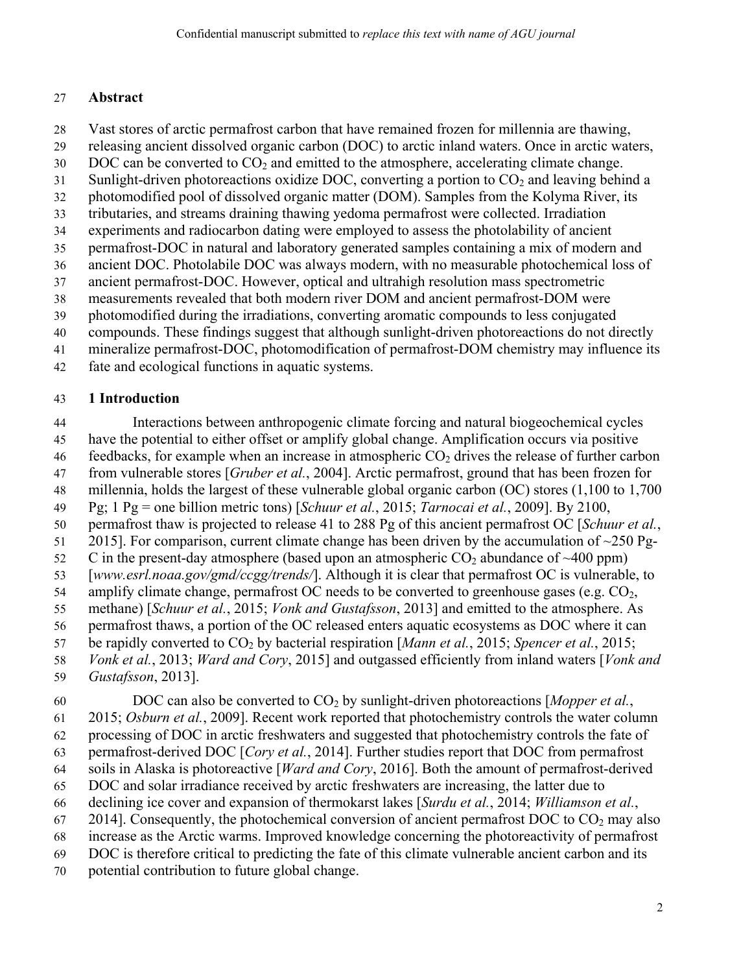#### 27 **Abstract**

- 28 Vast stores of arctic permafrost carbon that have remained frozen for millennia are thawing,
- 29 releasing ancient dissolved organic carbon (DOC) to arctic inland waters. Once in arctic waters,
- $30$  DOC can be converted to  $CO<sub>2</sub>$  and emitted to the atmosphere, accelerating climate change.
- 31 Sunlight-driven photoreactions oxidize DOC, converting a portion to  $CO<sub>2</sub>$  and leaving behind a
- 32 photomodified pool of dissolved organic matter (DOM). Samples from the Kolyma River, its
- 33 tributaries, and streams draining thawing yedoma permafrost were collected. Irradiation
- 34 experiments and radiocarbon dating were employed to assess the photolability of ancient
- 35 permafrost-DOC in natural and laboratory generated samples containing a mix of modern and
- 36 ancient DOC. Photolabile DOC was always modern, with no measurable photochemical loss of 37 ancient permafrost-DOC. However, optical and ultrahigh resolution mass spectrometric
- 38 measurements revealed that both modern river DOM and ancient permafrost-DOM were
- 39 photomodified during the irradiations, converting aromatic compounds to less conjugated
- 40 compounds. These findings suggest that although sunlight-driven photoreactions do not directly
- 41 mineralize permafrost-DOC, photomodification of permafrost-DOM chemistry may influence its
- 42 fate and ecological functions in aquatic systems.

#### 43 **1 Introduction**

- 44 Interactions between anthropogenic climate forcing and natural biogeochemical cycles
- 45 have the potential to either offset or amplify global change. Amplification occurs via positive
- 46 feedbacks, for example when an increase in atmospheric  $CO<sub>2</sub>$  drives the release of further carbon
- 47 from vulnerable stores [*Gruber et al.*, 2004]. Arctic permafrost, ground that has been frozen for
- 48 millennia, holds the largest of these vulnerable global organic carbon (OC) stores (1,100 to 1,700
- 49 Pg; 1 Pg = one billion metric tons) [*Schuur et al.*, 2015; *Tarnocai et al.*, 2009]. By 2100,
- 50 permafrost thaw is projected to release 41 to 288 Pg of this ancient permafrost OC [*Schuur et al.*,
- 51 2015]. For comparison, current climate change has been driven by the accumulation of  $\sim$ 250 Pg-
- 52 C in the present-day atmosphere (based upon an atmospheric  $CO_2$  abundance of  $\sim$ 400 ppm)
- 53 [*www.esrl.noaa.gov/gmd/ccgg/trends/*]. Although it is clear that permafrost OC is vulnerable, to
- 54 amplify climate change, permafrost OC needs to be converted to greenhouse gases (e.g.  $CO<sub>2</sub>$ , 55 methane) [*Schuur et al.*, 2015; *Vonk and Gustafsson*, 2013] and emitted to the atmosphere. As
- 56 permafrost thaws, a portion of the OC released enters aquatic ecosystems as DOC where it can
- 57 be rapidly converted to CO2 by bacterial respiration [*Mann et al.*, 2015; *Spencer et al.*, 2015;
- 58 *Vonk et al.*, 2013; *Ward and Cory*, 2015] and outgassed efficiently from inland waters [*Vonk and*
- 59 *Gustafsson*, 2013].
- 60 DOC can also be converted to  $CO<sub>2</sub>$  by sunlight-driven photoreactions [*Mopper et al.*,
- 61 2015; *Osburn et al.*, 2009]. Recent work reported that photochemistry controls the water column
- 62 processing of DOC in arctic freshwaters and suggested that photochemistry controls the fate of
- 63 permafrost-derived DOC [*Cory et al.*, 2014]. Further studies report that DOC from permafrost
- 64 soils in Alaska is photoreactive [*Ward and Cory*, 2016]. Both the amount of permafrost-derived
- 65 DOC and solar irradiance received by arctic freshwaters are increasing, the latter due to
- 66 declining ice cover and expansion of thermokarst lakes [*Surdu et al.*, 2014; *Williamson et al.*,
- 67 2014]. Consequently, the photochemical conversion of ancient permafrost DOC to  $CO<sub>2</sub>$  may also
- 68 increase as the Arctic warms. Improved knowledge concerning the photoreactivity of permafrost
- 69 DOC is therefore critical to predicting the fate of this climate vulnerable ancient carbon and its
- 70 potential contribution to future global change.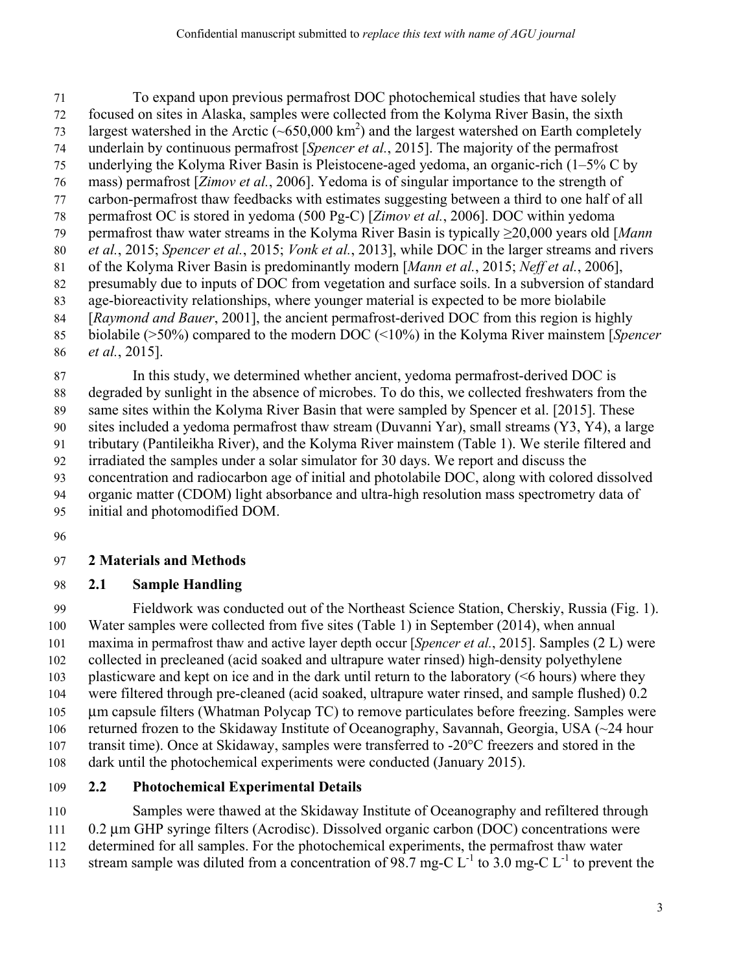71 To expand upon previous permafrost DOC photochemical studies that have solely 72 focused on sites in Alaska, samples were collected from the Kolyma River Basin, the sixth 73 largest watershed in the Arctic ( $\sim 650,000 \text{ km}^2$ ) and the largest watershed on Earth completely 74 underlain by continuous permafrost [*Spencer et al.*, 2015]. The majority of the permafrost 75 underlying the Kolyma River Basin is Pleistocene-aged yedoma, an organic-rich (1–5% C by 76 mass) permafrost [*Zimov et al.*, 2006]. Yedoma is of singular importance to the strength of 77 carbon-permafrost thaw feedbacks with estimates suggesting between a third to one half of all 78 permafrost OC is stored in yedoma (500 Pg-C) [*Zimov et al.*, 2006]. DOC within yedoma 79 permafrost thaw water streams in the Kolyma River Basin is typically ≥20,000 years old [*Mann*  80 *et al.*, 2015; *Spencer et al.*, 2015; *Vonk et al.*, 2013], while DOC in the larger streams and rivers 81 of the Kolyma River Basin is predominantly modern [*Mann et al.*, 2015; *Neff et al.*, 2006], 82 presumably due to inputs of DOC from vegetation and surface soils. In a subversion of standard 83 age-bioreactivity relationships, where younger material is expected to be more biolabile 84 [*Raymond and Bauer*, 2001], the ancient permafrost-derived DOC from this region is highly 85 biolabile (>50%) compared to the modern DOC (<10%) in the Kolyma River mainstem [*Spencer*  86 *et al.*, 2015].

87 In this study, we determined whether ancient, yedoma permafrost-derived DOC is 88 degraded by sunlight in the absence of microbes. To do this, we collected freshwaters from the 89 same sites within the Kolyma River Basin that were sampled by Spencer et al. [2015]. These 90 sites included a yedoma permafrost thaw stream (Duvanni Yar), small streams (Y3, Y4), a large 91 tributary (Pantileikha River), and the Kolyma River mainstem (Table 1). We sterile filtered and 92 irradiated the samples under a solar simulator for 30 days. We report and discuss the 93 concentration and radiocarbon age of initial and photolabile DOC, along with colored dissolved

94 organic matter (CDOM) light absorbance and ultra-high resolution mass spectrometry data of

95 initial and photomodified DOM.

96

#### 97 **2 Materials and Methods**

#### 98 **2.1 Sample Handling**

99 Fieldwork was conducted out of the Northeast Science Station, Cherskiy, Russia (Fig. 1). 100 Water samples were collected from five sites (Table 1) in September (2014), when annual 101 maxima in permafrost thaw and active layer depth occur [*Spencer et al.*, 2015]. Samples (2 L) were 102 collected in precleaned (acid soaked and ultrapure water rinsed) high-density polyethylene 103 plasticware and kept on ice and in the dark until return to the laboratory (<6 hours) where they 104 were filtered through pre-cleaned (acid soaked, ultrapure water rinsed, and sample flushed) 0.2 105 μm capsule filters (Whatman Polycap TC) to remove particulates before freezing. Samples were 106 returned frozen to the Skidaway Institute of Oceanography, Savannah, Georgia, USA (~24 hour 107 transit time). Once at Skidaway, samples were transferred to -20°C freezers and stored in the 108 dark until the photochemical experiments were conducted (January 2015).

#### 109 **2.2 Photochemical Experimental Details**

110 Samples were thawed at the Skidaway Institute of Oceanography and refiltered through

111 0.2 μm GHP syringe filters (Acrodisc). Dissolved organic carbon (DOC) concentrations were 112 determined for all samples. For the photochemical experiments, the permafrost thaw water

113 stream sample was diluted from a concentration of  $98.7$  mg-C  $L^{-1}$  to 3.0 mg-C  $L^{-1}$  to prevent the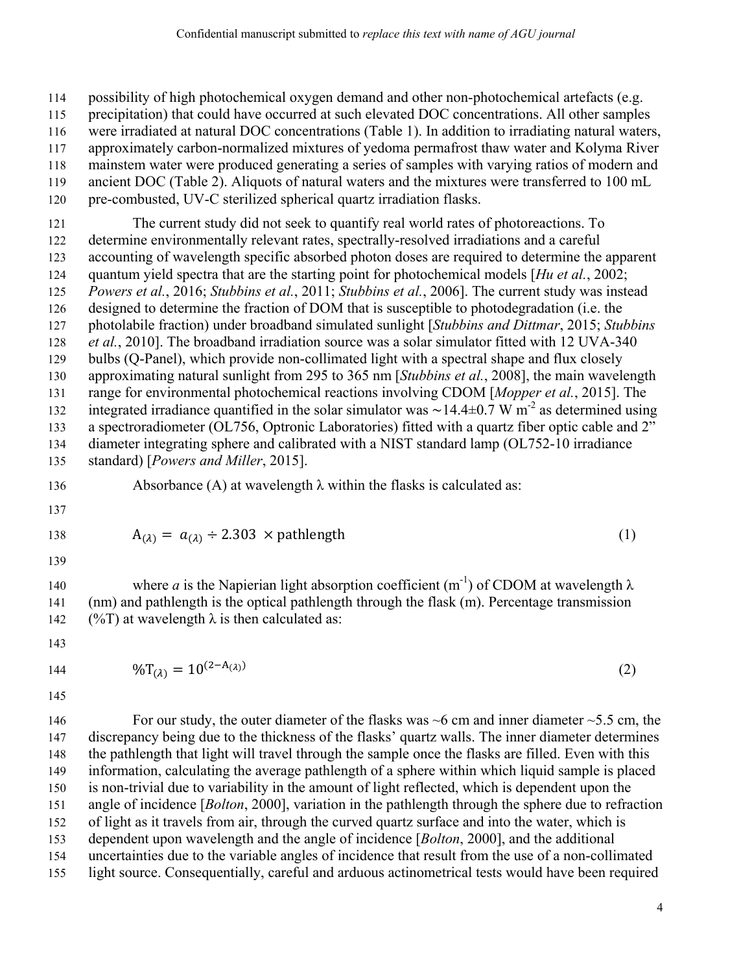114 possibility of high photochemical oxygen demand and other non-photochemical artefacts (e.g.

115 precipitation) that could have occurred at such elevated DOC concentrations. All other samples

- 116 were irradiated at natural DOC concentrations (Table 1). In addition to irradiating natural waters,
- 117 approximately carbon-normalized mixtures of yedoma permafrost thaw water and Kolyma River 118 mainstem water were produced generating a series of samples with varying ratios of modern and
- 119 ancient DOC (Table 2). Aliquots of natural waters and the mixtures were transferred to 100 mL
- 120 pre-combusted, UV-C sterilized spherical quartz irradiation flasks.

121 The current study did not seek to quantify real world rates of photoreactions. To 122 determine environmentally relevant rates, spectrally-resolved irradiations and a careful 123 accounting of wavelength specific absorbed photon doses are required to determine the apparent 124 quantum yield spectra that are the starting point for photochemical models [*Hu et al.*, 2002; 125 *Powers et al.*, 2016; *Stubbins et al.*, 2011; *Stubbins et al.*, 2006]. The current study was instead 126 designed to determine the fraction of DOM that is susceptible to photodegradation (i.e. the 127 photolabile fraction) under broadband simulated sunlight [*Stubbins and Dittmar*, 2015; *Stubbins*  128 *et al.*, 2010]. The broadband irradiation source was a solar simulator fitted with 12 UVA-340 129 bulbs (Q-Panel), which provide non-collimated light with a spectral shape and flux closely 130 approximating natural sunlight from 295 to 365 nm [*Stubbins et al.*, 2008], the main wavelength 131 range for environmental photochemical reactions involving CDOM [*Mopper et al.*, 2015]. The integrated irradiance quantified in the solar simulator was ~14.4±0.7 W m<sup>-2</sup> as determined using 133 a spectroradiometer (OL756, Optronic Laboratories) fitted with a quartz fiber optic cable and 2" 134 diameter integrating sphere and calibrated with a NIST standard lamp (OL752-10 irradiance 135 standard) [*Powers and Miller*, 2015].

- 136 Absorbance (A) at wavelength  $\lambda$  within the flasks is calculated as:
- 137

$$
138 \\
$$

139

140 where *a* is the Napierian light absorption coefficient  $(m^{-1})$  of CDOM at wavelength  $\lambda$ 

 $A_{(\lambda)} = a_{(\lambda)} \div 2.303 \times \text{pathlength}$  (1)

141 (nm) and pathlength is the optical pathlength through the flask (m). Percentage transmission 142 (%T) at wavelength  $\lambda$  is then calculated as:

143

$$
144\,
$$

144  $\%T_{(\lambda)} = 10^{(2-A_{(\lambda)})}$  (2)

145

146 For our study, the outer diameter of the flasks was  $\sim$  6 cm and inner diameter  $\sim$  5.5 cm, the 147 discrepancy being due to the thickness of the flasks' quartz walls. The inner diameter determines 148 the pathlength that light will travel through the sample once the flasks are filled. Even with this 149 information, calculating the average pathlength of a sphere within which liquid sample is placed 150 is non-trivial due to variability in the amount of light reflected, which is dependent upon the 151 angle of incidence [*Bolton*, 2000], variation in the pathlength through the sphere due to refraction 152 of light as it travels from air, through the curved quartz surface and into the water, which is 153 dependent upon wavelength and the angle of incidence [*Bolton*, 2000], and the additional 154 uncertainties due to the variable angles of incidence that result from the use of a non-collimated 155 light source. Consequentially, careful and arduous actinometrical tests would have been required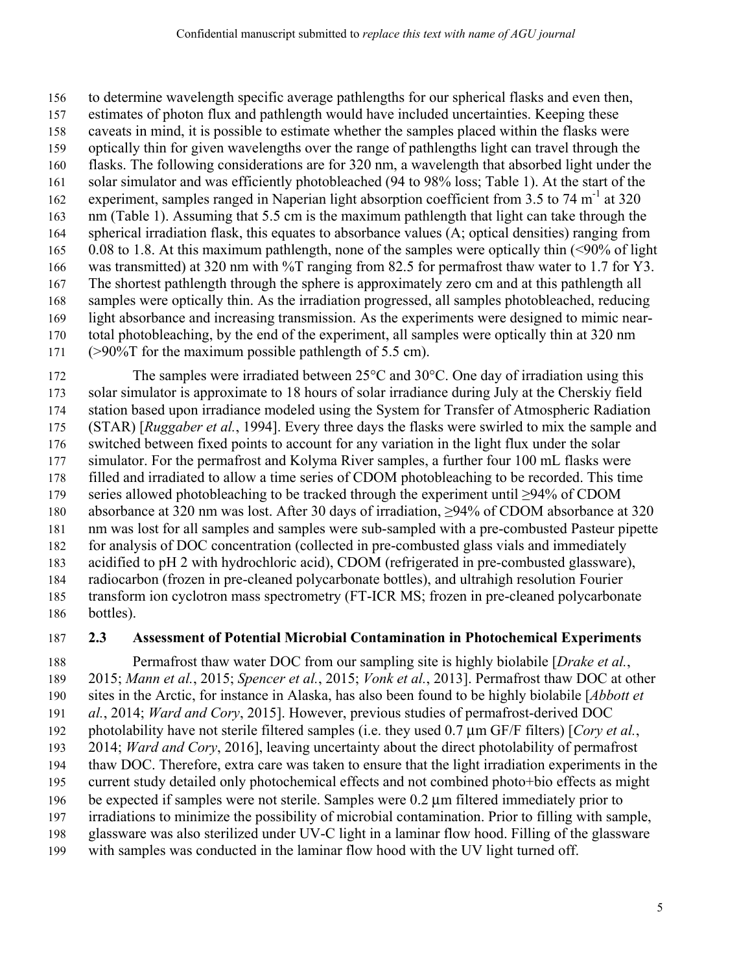156 to determine wavelength specific average pathlengths for our spherical flasks and even then,

- 157 estimates of photon flux and pathlength would have included uncertainties. Keeping these
- 158 caveats in mind, it is possible to estimate whether the samples placed within the flasks were 159 optically thin for given wavelengths over the range of pathlengths light can travel through the
- 160 flasks. The following considerations are for 320 nm, a wavelength that absorbed light under the
- 161 solar simulator and was efficiently photobleached (94 to 98% loss; Table 1). At the start of the
- experiment, samples ranged in Naperian light absorption coefficient from  $3.5$  to  $74 \text{ m}^{-1}$  at  $320$
- 163 nm (Table 1). Assuming that 5.5 cm is the maximum pathlength that light can take through the 164 spherical irradiation flask, this equates to absorbance values (A; optical densities) ranging from
- 165 0.08 to 1.8. At this maximum pathlength, none of the samples were optically thin (<90% of light
- 166 was transmitted) at 320 nm with %T ranging from 82.5 for permafrost thaw water to 1.7 for Y3. 167 The shortest pathlength through the sphere is approximately zero cm and at this pathlength all
- 168 samples were optically thin. As the irradiation progressed, all samples photobleached, reducing
- 169 light absorbance and increasing transmission. As the experiments were designed to mimic near-
- 170 total photobleaching, by the end of the experiment, all samples were optically thin at 320 nm
- 171 (>90%T for the maximum possible pathlength of 5.5 cm).

172 The samples were irradiated between  $25^{\circ}$ C and  $30^{\circ}$ C. One day of irradiation using this 173 solar simulator is approximate to 18 hours of solar irradiance during July at the Cherskiy field 174 station based upon irradiance modeled using the System for Transfer of Atmospheric Radiation 175 (STAR) [*Ruggaber et al.*, 1994]. Every three days the flasks were swirled to mix the sample and 176 switched between fixed points to account for any variation in the light flux under the solar 177 simulator. For the permafrost and Kolyma River samples, a further four 100 mL flasks were 178 filled and irradiated to allow a time series of CDOM photobleaching to be recorded. This time 179 series allowed photobleaching to be tracked through the experiment until ≥94% of CDOM 180 absorbance at 320 nm was lost. After 30 days of irradiation, ≥94% of CDOM absorbance at 320 181 nm was lost for all samples and samples were sub-sampled with a pre-combusted Pasteur pipette 182 for analysis of DOC concentration (collected in pre-combusted glass vials and immediately 183 acidified to pH 2 with hydrochloric acid), CDOM (refrigerated in pre-combusted glassware), 184 radiocarbon (frozen in pre-cleaned polycarbonate bottles), and ultrahigh resolution Fourier 185 transform ion cyclotron mass spectrometry (FT-ICR MS; frozen in pre-cleaned polycarbonate 186 bottles).

### 187 **2.3 Assessment of Potential Microbial Contamination in Photochemical Experiments**

188 Permafrost thaw water DOC from our sampling site is highly biolabile [*Drake et al.*, 189 2015; *Mann et al.*, 2015; *Spencer et al.*, 2015; *Vonk et al.*, 2013]. Permafrost thaw DOC at other 190 sites in the Arctic, for instance in Alaska, has also been found to be highly biolabile [*Abbott et*  191 *al.*, 2014; *Ward and Cory*, 2015]. However, previous studies of permafrost-derived DOC 192 photolability have not sterile filtered samples (i.e. they used 0.7 μm GF/F filters) [*Cory et al.*, 193 2014; *Ward and Cory*, 2016], leaving uncertainty about the direct photolability of permafrost 194 thaw DOC. Therefore, extra care was taken to ensure that the light irradiation experiments in the 195 current study detailed only photochemical effects and not combined photo+bio effects as might 196 be expected if samples were not sterile. Samples were 0.2 μm filtered immediately prior to 197 irradiations to minimize the possibility of microbial contamination. Prior to filling with sample, 198 glassware was also sterilized under UV-C light in a laminar flow hood. Filling of the glassware 199 with samples was conducted in the laminar flow hood with the UV light turned off.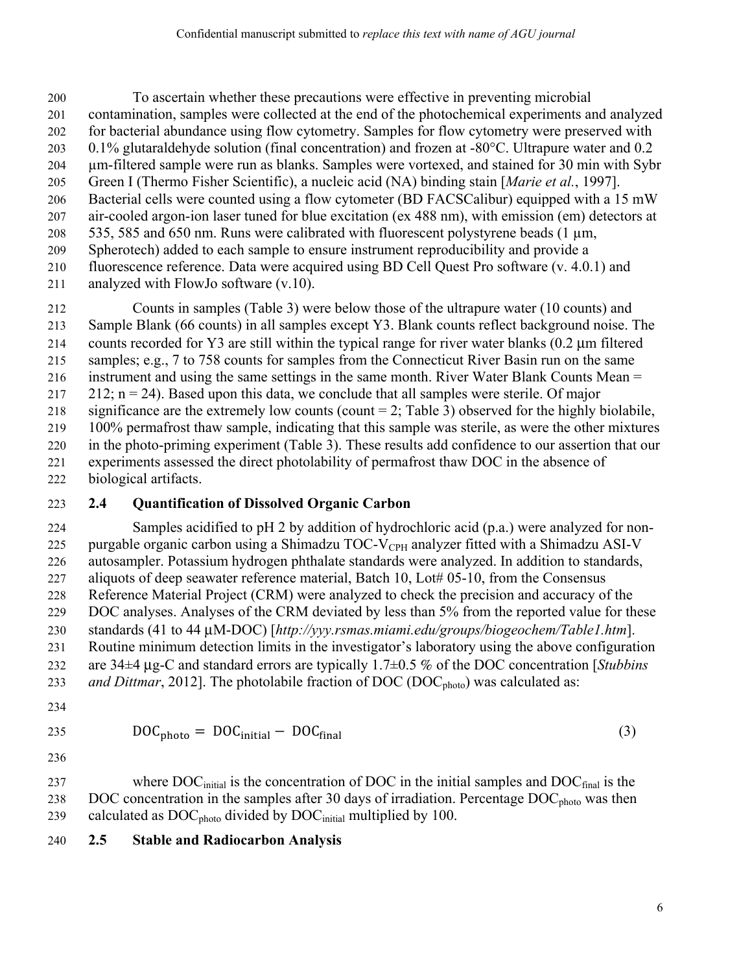200 To ascertain whether these precautions were effective in preventing microbial 201 contamination, samples were collected at the end of the photochemical experiments and analyzed 202 for bacterial abundance using flow cytometry. Samples for flow cytometry were preserved with 203 0.1% glutaraldehyde solution (final concentration) and frozen at -80°C. Ultrapure water and 0.2 204 µm-filtered sample were run as blanks. Samples were vortexed, and stained for 30 min with Sybr 205 Green I (Thermo Fisher Scientific), a nucleic acid (NA) binding stain [*Marie et al.*, 1997]. 206 Bacterial cells were counted using a flow cytometer (BD FACSCalibur) equipped with a 15 mW 207 air-cooled argon-ion laser tuned for blue excitation (ex 488 nm), with emission (em) detectors at 208  $\,$  535, 585 and 650 nm. Runs were calibrated with fluorescent polystyrene beads (1  $\,\mu$ m, 209 Spherotech) added to each sample to ensure instrument reproducibility and provide a 210 fluorescence reference. Data were acquired using BD Cell Quest Pro software (v. 4.0.1) and

211 analyzed with FlowJo software (v.10).

212 Counts in samples (Table 3) were below those of the ultrapure water (10 counts) and 213 Sample Blank (66 counts) in all samples except Y3. Blank counts reflect background noise. The 214 counts recorded for Y3 are still within the typical range for river water blanks (0.2 μm filtered 215 samples; e.g., 7 to 758 counts for samples from the Connecticut River Basin run on the same 216 instrument and using the same settings in the same month. River Water Blank Counts Mean = 217 212;  $n = 24$ ). Based upon this data, we conclude that all samples were sterile. Of major 218 significance are the extremely low counts (count  $= 2$ ; Table 3) observed for the highly biolabile, 219 100% permafrost thaw sample, indicating that this sample was sterile, as were the other mixtures 220 in the photo-priming experiment (Table 3). These results add confidence to our assertion that our 221 experiments assessed the direct photolability of permafrost thaw DOC in the absence of 222 biological artifacts.

#### 223 **2.4 Quantification of Dissolved Organic Carbon**

224 Samples acidified to pH 2 by addition of hydrochloric acid (p.a.) were analyzed for non-225 purgable organic carbon using a Shimadzu TOC-V<sub>CPH</sub> analyzer fitted with a Shimadzu ASI-V 226 autosampler. Potassium hydrogen phthalate standards were analyzed. In addition to standards, 227 aliquots of deep seawater reference material, Batch 10, Lot# 05-10, from the Consensus 228 Reference Material Project (CRM) were analyzed to check the precision and accuracy of the 229 DOC analyses. Analyses of the CRM deviated by less than 5% from the reported value for these 230 standards (41 to 44 μM-DOC) [*http://yyy.rsmas.miami.edu/groups/biogeochem/Table1.htm*]. 231 Routine minimum detection limits in the investigator's laboratory using the above configuration 232 are 34±4 μg-C and standard errors are typically 1.7±0.5 % of the DOC concentration [*Stubbins*  233 *and Dittmar*, 2012]. The photolabile fraction of DOC (DOC<sub>photo</sub>) was calculated as:

234

$$
DOC_{photo} = DOC_{initial} - DOC_{final}
$$
 (3)

236

237 where  $DOC<sub>initial</sub>$  is the concentration of DOC in the initial samples and  $DOC<sub>final</sub>$  is the 238 DOC concentration in the samples after 30 days of irradiation. Percentage  $DOC<sub>photo</sub>$  was then 239 calculated as  $DOC<sub>photo</sub>$  divided by  $DOC<sub>initial</sub>$  multiplied by 100.

240 **2.5 Stable and Radiocarbon Analysis**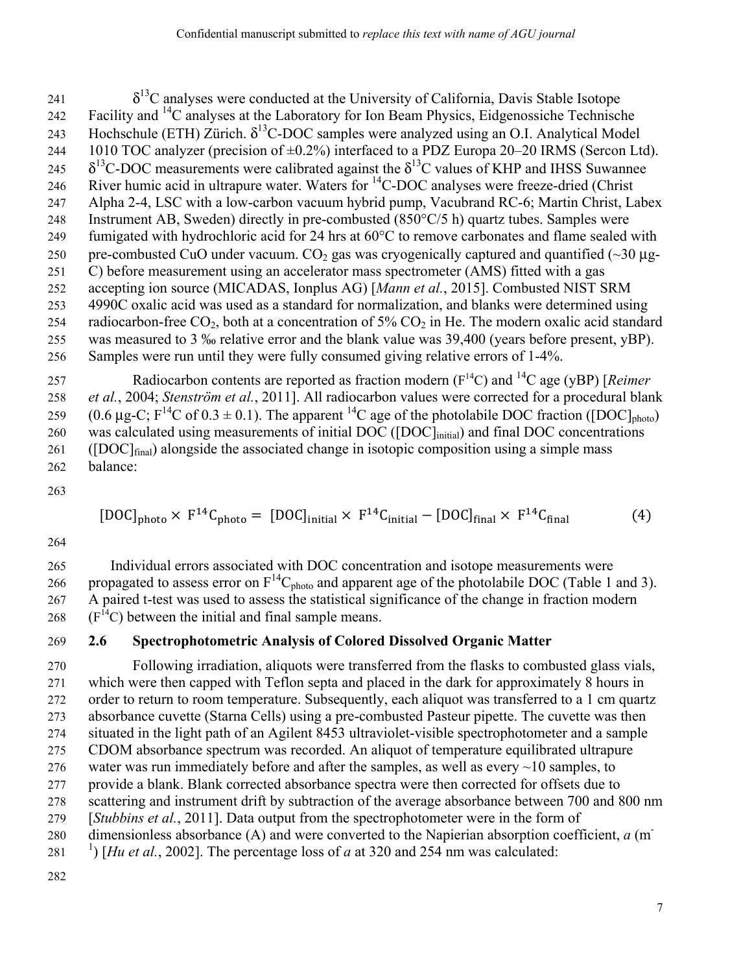$\delta^{13}$ C analyses were conducted at the University of California, Davis Stable Isotope 242 Facility and  ${}^{14}C$  analyses at the Laboratory for Ion Beam Physics, Eidgenossiche Technische 243 Hochschule (ETH) Zürich.  $\delta^{13}$ C-DOC samples were analyzed using an O.I. Analytical Model 244 1010 TOC analyzer (precision of  $\pm 0.2\%$ ) interfaced to a PDZ Europa 20–20 IRMS (Sercon Ltd). 245  $\delta^{13}$ C-DOC measurements were calibrated against the  $\delta^{13}$ C values of KHP and IHSS Suwannee 246 River humic acid in ultrapure water. Waters for  ${}^{14}$ C-DOC analyses were freeze-dried (Christ 247 Alpha 2-4, LSC with a low-carbon vacuum hybrid pump, Vacubrand RC-6; Martin Christ, Labex 248 Instrument AB, Sweden) directly in pre-combusted (850°C/5 h) quartz tubes. Samples were 249 fumigated with hydrochloric acid for 24 hrs at 60°C to remove carbonates and flame sealed with 250 pre-combusted CuO under vacuum. CO<sub>2</sub> gas was cryogenically captured and quantified ( $\sim$ 30 µg-251 C) before measurement using an accelerator mass spectrometer (AMS) fitted with a gas 252 accepting ion source (MICADAS, Ionplus AG) [*Mann et al.*, 2015]. Combusted NIST SRM 253 4990C oxalic acid was used as a standard for normalization, and blanks were determined using 254 radiocarbon-free CO<sub>2</sub>, both at a concentration of 5% CO<sub>2</sub> in He. The modern oxalic acid standard 255 was measured to 3 ‰ relative error and the blank value was 39,400 (years before present, yBP). 256 Samples were run until they were fully consumed giving relative errors of 1-4%.

257 Radiocarbon contents are reported as fraction modern  $(F<sup>14</sup>C)$  and  $^{14}C$  age (yBP) [*Reimer* 258 *et al.*, 2004; *Stenström et al.*, 2011]. All radiocarbon values were corrected for a procedural blank 259 (0.6 μg-C;  $F^{14}C$  of 0.3  $\pm$  0.1). The apparent <sup>14</sup>C age of the photolabile DOC fraction ([DOC]<sub>photo</sub>) 260 was calculated using measurements of initial DOC ([DOC]<sub>initial</sub>) and final DOC concentrations 261 ([DOC] $_{\text{final}}$ ) alongside the associated change in isotopic composition using a simple mass 262 balance:

263

$$
[DOC]_{photo} \times F^{14}C_{photo} = [DOC]_{initial} \times F^{14}C_{initial} - [DOC]_{final} \times F^{14}C_{final}
$$
 (4)

264

265 Individual errors associated with DOC concentration and isotope measurements were propagated to assess error on  $F^{14}C_{photo}$  and apparent age of the photolabile DOC (Table 1 and 3). 267 A paired t-test was used to assess the statistical significance of the change in fraction modern  $268$  (F<sup>14</sup>C) between the initial and final sample means.

#### 269 **2.6 Spectrophotometric Analysis of Colored Dissolved Organic Matter**

270 Following irradiation, aliquots were transferred from the flasks to combusted glass vials, 271 which were then capped with Teflon septa and placed in the dark for approximately 8 hours in 272 order to return to room temperature. Subsequently, each aliquot was transferred to a 1 cm quartz 273 absorbance cuvette (Starna Cells) using a pre-combusted Pasteur pipette. The cuvette was then 274 situated in the light path of an Agilent 8453 ultraviolet-visible spectrophotometer and a sample 275 CDOM absorbance spectrum was recorded. An aliquot of temperature equilibrated ultrapure 276 water was run immediately before and after the samples, as well as every  $\sim$ 10 samples, to 277 provide a blank. Blank corrected absorbance spectra were then corrected for offsets due to 278 scattering and instrument drift by subtraction of the average absorbance between 700 and 800 nm 279 [*Stubbins et al.*, 2011]. Data output from the spectrophotometer were in the form of 280 dimensionless absorbance (A) and were converted to the Napierian absorption coefficient, *a* (m<sup>-</sup> 281 <sup>1</sup>) [*Hu et al.*, 2002]. The percentage loss of *a* at 320 and 254 nm was calculated: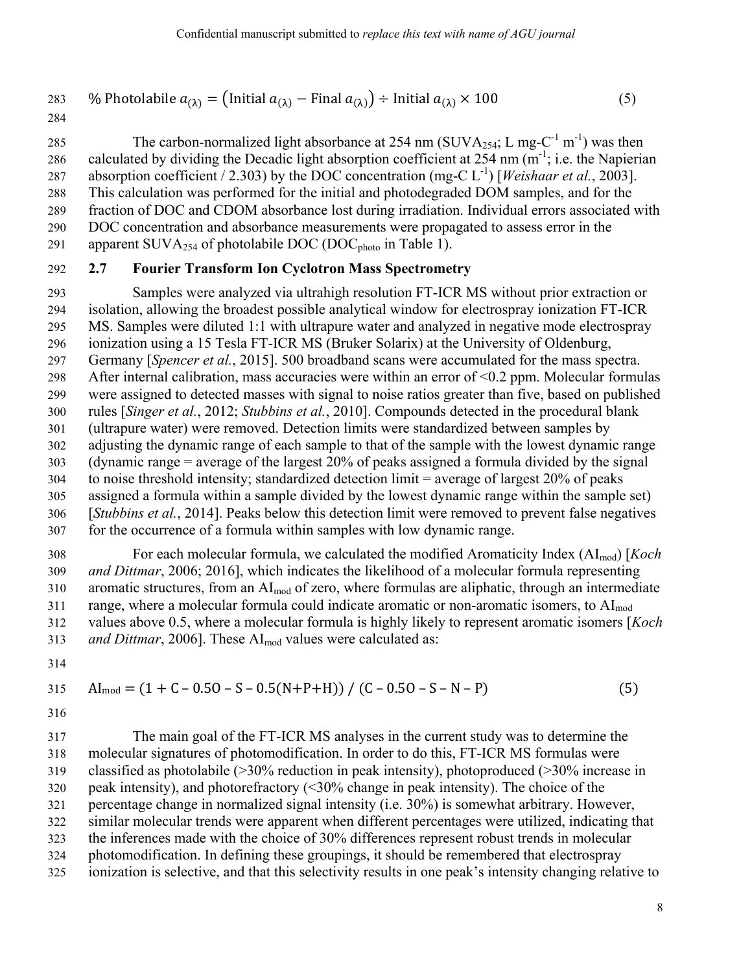283 % Photolabile 
$$
a_{(\lambda)} = (\text{Initial } a_{(\lambda)} - \text{Final } a_{(\lambda)}) \div \text{Initial } a_{(\lambda)} \times 100
$$
 (5)

285 The carbon-normalized light absorbance at 254 nm (SUVA<sub>254</sub>; L mg-C<sup>-1</sup> m<sup>-1</sup>) was then 286 calculated by dividing the Decadic light absorption coefficient at 254 nm  $(m^{-1})$ ; i.e. the Napierian absorption coefficient / 2.303) by the DOC concentration (mg-C  $L^{-1}$ ) [*Weishaar et al.*, 2003]. 288 This calculation was performed for the initial and photodegraded DOM samples, and for the 289 fraction of DOC and CDOM absorbance lost during irradiation. Individual errors associated with 290 DOC concentration and absorbance measurements were propagated to assess error in the 291 apparent SUVA $_{254}$  of photolabile DOC (DOC<sub>photo</sub> in Table 1).

#### 292 **2.7 Fourier Transform Ion Cyclotron Mass Spectrometry**

293 Samples were analyzed via ultrahigh resolution FT-ICR MS without prior extraction or 294 isolation, allowing the broadest possible analytical window for electrospray ionization FT-ICR 295 MS. Samples were diluted 1:1 with ultrapure water and analyzed in negative mode electrospray 296 ionization using a 15 Tesla FT-ICR MS (Bruker Solarix) at the University of Oldenburg, 297 Germany [*Spencer et al.*, 2015]. 500 broadband scans were accumulated for the mass spectra. 298 After internal calibration, mass accuracies were within an error of <0.2 ppm. Molecular formulas 299 were assigned to detected masses with signal to noise ratios greater than five, based on published 300 rules [*Singer et al.*, 2012; *Stubbins et al.*, 2010]. Compounds detected in the procedural blank 301 (ultrapure water) were removed. Detection limits were standardized between samples by 302 adjusting the dynamic range of each sample to that of the sample with the lowest dynamic range 303 (dynamic range = average of the largest 20% of peaks assigned a formula divided by the signal  $304$  to noise threshold intensity; standardized detection limit = average of largest 20% of peaks 305 assigned a formula within a sample divided by the lowest dynamic range within the sample set) 306 [*Stubbins et al.*, 2014]. Peaks below this detection limit were removed to prevent false negatives 307 for the occurrence of a formula within samples with low dynamic range.

308 For each molecular formula, we calculated the modified Aromaticity Index (AImod) [*Koch*  309 *and Dittmar*, 2006; 2016], which indicates the likelihood of a molecular formula representing 310 aromatic structures, from an AI<sub>mod</sub> of zero, where formulas are aliphatic, through an intermediate 311 range, where a molecular formula could indicate aromatic or non-aromatic isomers, to  $AI_{mod}$ 312 values above 0.5, where a molecular formula is highly likely to represent aromatic isomers [*Koch*  313 *and Dittmar*, 2006]. These AI<sub>mod</sub> values were calculated as:

314

$$
315 \qquad \text{Al}_{\text{mod}} = (1 + \text{C} - 0.50 - \text{S} - 0.5(\text{N} + \text{P} + \text{H})) / (\text{C} - 0.50 - \text{S} - \text{N} - \text{P}) \tag{5}
$$

316

317 The main goal of the FT-ICR MS analyses in the current study was to determine the 318 molecular signatures of photomodification. In order to do this, FT-ICR MS formulas were 319 classified as photolabile (>30% reduction in peak intensity), photoproduced (>30% increase in 320 peak intensity), and photorefractory (<30% change in peak intensity). The choice of the 321 percentage change in normalized signal intensity (i.e. 30%) is somewhat arbitrary. However, 322 similar molecular trends were apparent when different percentages were utilized, indicating that 323 the inferences made with the choice of 30% differences represent robust trends in molecular 324 photomodification. In defining these groupings, it should be remembered that electrospray 325 ionization is selective, and that this selectivity results in one peak's intensity changing relative to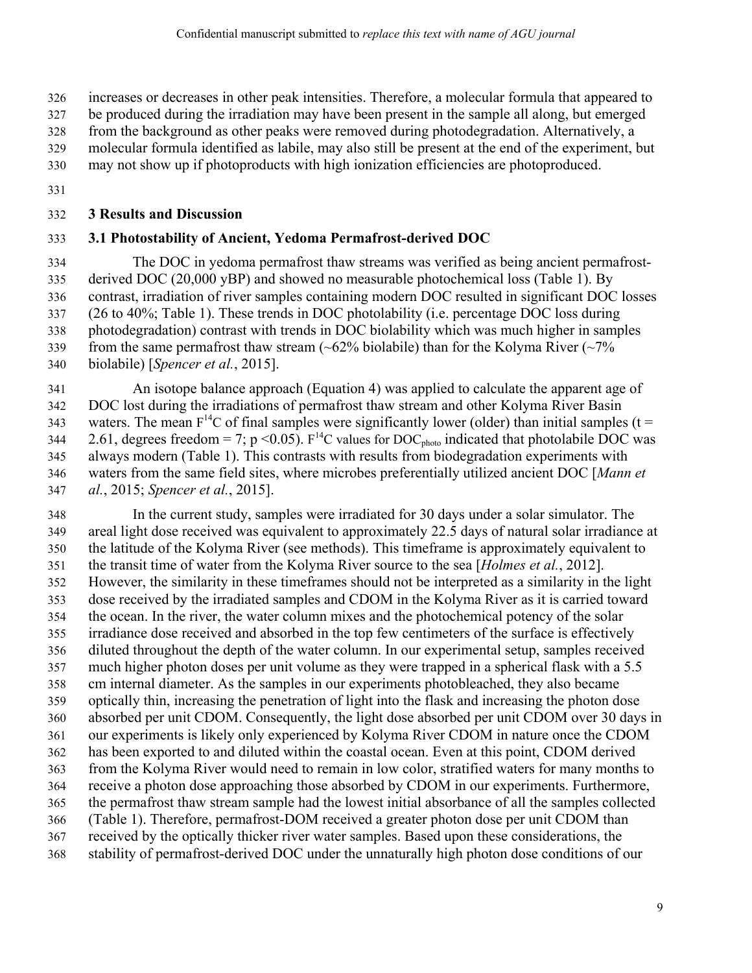326 increases or decreases in other peak intensities. Therefore, a molecular formula that appeared to

327 be produced during the irradiation may have been present in the sample all along, but emerged

328 from the background as other peaks were removed during photodegradation. Alternatively, a

329 molecular formula identified as labile, may also still be present at the end of the experiment, but

330 may not show up if photoproducts with high ionization efficiencies are photoproduced.

331

#### 332 **3 Results and Discussion**

#### 333 **3.1 Photostability of Ancient, Yedoma Permafrost-derived DOC**

334 The DOC in yedoma permafrost thaw streams was verified as being ancient permafrost-335 derived DOC (20,000 yBP) and showed no measurable photochemical loss (Table 1). By 336 contrast, irradiation of river samples containing modern DOC resulted in significant DOC losses 337 (26 to 40%; Table 1). These trends in DOC photolability (i.e. percentage DOC loss during 338 photodegradation) contrast with trends in DOC biolability which was much higher in samples 339 from the same permafrost thaw stream  $(-62\%$  biolabile) than for the Kolyma River  $(-7\%$ 340 biolabile) [*Spencer et al.*, 2015].

341 An isotope balance approach (Equation 4) was applied to calculate the apparent age of 342 DOC lost during the irradiations of permafrost thaw stream and other Kolyma River Basin 343 waters. The mean  $F^{14}C$  of final samples were significantly lower (older) than initial samples (t = 2.61, degrees freedom = 7; p < 0.05). F<sup>14</sup>C values for DOC<sub>photo</sub> indicated that photolabile DOC was 345 always modern (Table 1). This contrasts with results from biodegradation experiments with 346 waters from the same field sites, where microbes preferentially utilized ancient DOC [*Mann et*  347 *al.*, 2015; *Spencer et al.*, 2015].

348 In the current study, samples were irradiated for 30 days under a solar simulator. The 349 areal light dose received was equivalent to approximately 22.5 days of natural solar irradiance at 350 the latitude of the Kolyma River (see methods). This timeframe is approximately equivalent to 351 the transit time of water from the Kolyma River source to the sea [*Holmes et al.*, 2012]. 352 However, the similarity in these timeframes should not be interpreted as a similarity in the light 353 dose received by the irradiated samples and CDOM in the Kolyma River as it is carried toward 354 the ocean. In the river, the water column mixes and the photochemical potency of the solar 355 irradiance dose received and absorbed in the top few centimeters of the surface is effectively 356 diluted throughout the depth of the water column. In our experimental setup, samples received 357 much higher photon doses per unit volume as they were trapped in a spherical flask with a 5.5 358 cm internal diameter. As the samples in our experiments photobleached, they also became 359 optically thin, increasing the penetration of light into the flask and increasing the photon dose 360 absorbed per unit CDOM. Consequently, the light dose absorbed per unit CDOM over 30 days in 361 our experiments is likely only experienced by Kolyma River CDOM in nature once the CDOM 362 has been exported to and diluted within the coastal ocean. Even at this point, CDOM derived 363 from the Kolyma River would need to remain in low color, stratified waters for many months to 364 receive a photon dose approaching those absorbed by CDOM in our experiments. Furthermore, 365 the permafrost thaw stream sample had the lowest initial absorbance of all the samples collected 366 (Table 1). Therefore, permafrost-DOM received a greater photon dose per unit CDOM than 367 received by the optically thicker river water samples. Based upon these considerations, the 368 stability of permafrost-derived DOC under the unnaturally high photon dose conditions of our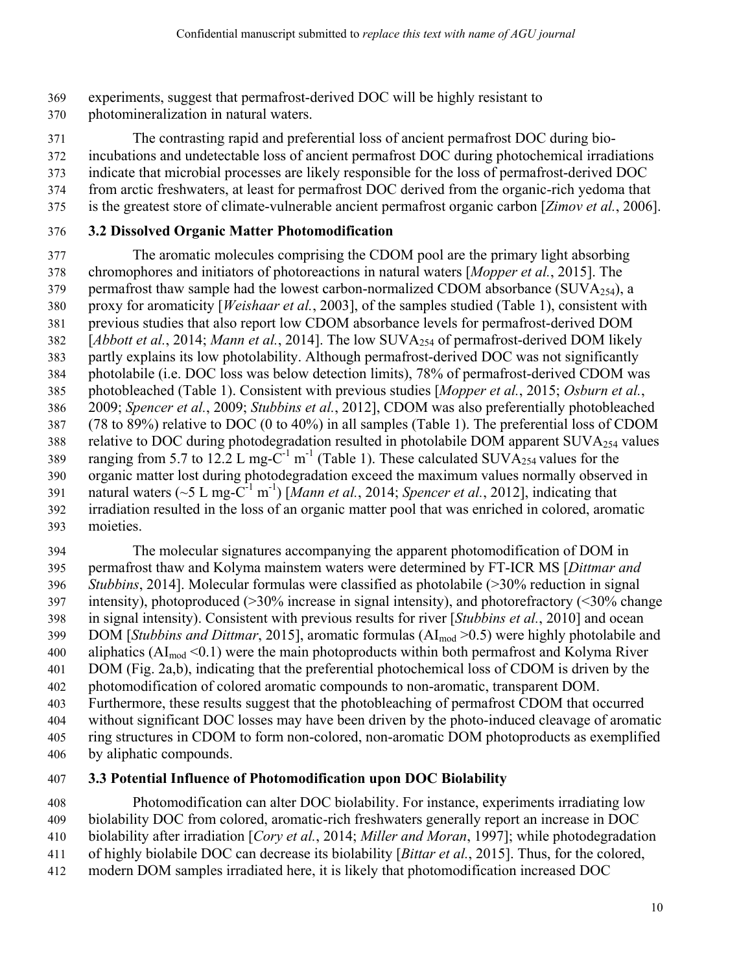369 experiments, suggest that permafrost-derived DOC will be highly resistant to

370 photomineralization in natural waters.

371 The contrasting rapid and preferential loss of ancient permafrost DOC during bio-

372 incubations and undetectable loss of ancient permafrost DOC during photochemical irradiations

- 373 indicate that microbial processes are likely responsible for the loss of permafrost-derived DOC
- 374 from arctic freshwaters, at least for permafrost DOC derived from the organic-rich yedoma that
- 375 is the greatest store of climate-vulnerable ancient permafrost organic carbon [*Zimov et al.*, 2006].

#### 376 **3.2 Dissolved Organic Matter Photomodification**

377 The aromatic molecules comprising the CDOM pool are the primary light absorbing 378 chromophores and initiators of photoreactions in natural waters [*Mopper et al.*, 2015]. The 379 permafrost thaw sample had the lowest carbon-normalized CDOM absorbance (SUVA $_{254}$ ), a 380 proxy for aromaticity [*Weishaar et al.*, 2003], of the samples studied (Table 1), consistent with 381 previous studies that also report low CDOM absorbance levels for permafrost-derived DOM 382 [*Abbott et al.*, 2014; *Mann et al.*, 2014]. The low SUVA<sub>254</sub> of permafrost-derived DOM likely 383 partly explains its low photolability. Although permafrost-derived DOC was not significantly 384 photolabile (i.e. DOC loss was below detection limits), 78% of permafrost-derived CDOM was 385 photobleached (Table 1). Consistent with previous studies [*Mopper et al.*, 2015; *Osburn et al.*, 386 2009; *Spencer et al.*, 2009; *Stubbins et al.*, 2012], CDOM was also preferentially photobleached 387 (78 to 89%) relative to DOC (0 to 40%) in all samples (Table 1). The preferential loss of CDOM 388 relative to DOC during photodegradation resulted in photolabile DOM apparent SUVA $_{254}$  values 389 ranging from 5.7 to 12.2 L mg- $C^{-1}$  m<sup>-1</sup> (Table 1). These calculated SUVA<sub>254</sub> values for the 390 organic matter lost during photodegradation exceed the maximum values normally observed in 391 natural waters  $({\sim}5 \text{ L mg-C}^{-1} \text{ m}^{-1})$  [*Mann et al.*, 2014; *Spencer et al.*, 2012], indicating that 392 irradiation resulted in the loss of an organic matter pool that was enriched in colored, aromatic 393 moieties.

394 The molecular signatures accompanying the apparent photomodification of DOM in 395 permafrost thaw and Kolyma mainstem waters were determined by FT-ICR MS [*Dittmar and*  396 *Stubbins*, 2014]. Molecular formulas were classified as photolabile (>30% reduction in signal 397 intensity), photoproduced (>30% increase in signal intensity), and photorefractory (<30% change 398 in signal intensity). Consistent with previous results for river [*Stubbins et al.*, 2010] and ocean 399 DOM *[Stubbins and Dittmar*, 2015], aromatic formulas (AI<sub>mod</sub> > 0.5) were highly photolabile and 400 aliphatics  $(AI_{mod} < 0.1)$  were the main photoproducts within both permafrost and Kolyma River 401 DOM (Fig. 2a,b), indicating that the preferential photochemical loss of CDOM is driven by the 402 photomodification of colored aromatic compounds to non-aromatic, transparent DOM. 403 Furthermore, these results suggest that the photobleaching of permafrost CDOM that occurred 404 without significant DOC losses may have been driven by the photo-induced cleavage of aromatic 405 ring structures in CDOM to form non-colored, non-aromatic DOM photoproducts as exemplified 406 by aliphatic compounds.

#### 407 **3.3 Potential Influence of Photomodification upon DOC Biolability**

408 Photomodification can alter DOC biolability. For instance, experiments irradiating low 409 biolability DOC from colored, aromatic-rich freshwaters generally report an increase in DOC 410 biolability after irradiation [*Cory et al.*, 2014; *Miller and Moran*, 1997]; while photodegradation 411 of highly biolabile DOC can decrease its biolability [*Bittar et al.*, 2015]. Thus, for the colored, 412 modern DOM samples irradiated here, it is likely that photomodification increased DOC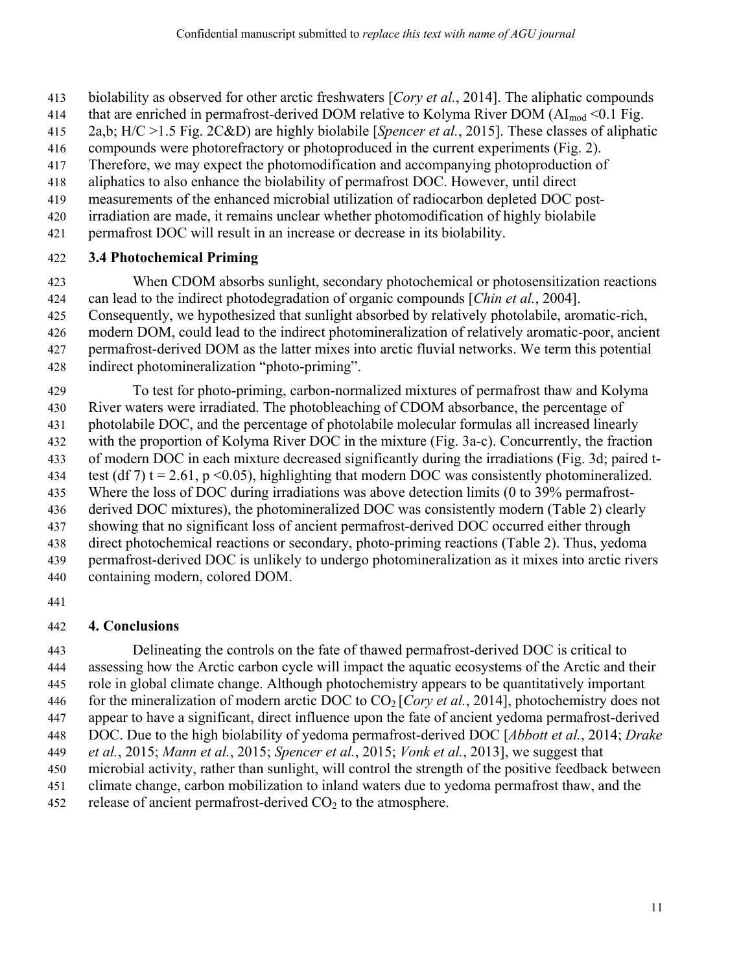- 413 biolability as observed for other arctic freshwaters [*Cory et al.*, 2014]. The aliphatic compounds
- 414 that are enriched in permafrost-derived DOM relative to Kolyma River DOM ( $AI_{mod}$  < 0.1 Fig.
- 415 2a,b; H/C >1.5 Fig. 2C&D) are highly biolabile [*Spencer et al.*, 2015]. These classes of aliphatic
- 416 compounds were photorefractory or photoproduced in the current experiments (Fig. 2).
- 417 Therefore, we may expect the photomodification and accompanying photoproduction of
- 418 aliphatics to also enhance the biolability of permafrost DOC. However, until direct
- 419 measurements of the enhanced microbial utilization of radiocarbon depleted DOC post-
- 420 irradiation are made, it remains unclear whether photomodification of highly biolabile
- 421 permafrost DOC will result in an increase or decrease in its biolability.

#### 422 **3.4 Photochemical Priming**

423 When CDOM absorbs sunlight, secondary photochemical or photosensitization reactions 424 can lead to the indirect photodegradation of organic compounds [*Chin et al.*, 2004].

- 425 Consequently, we hypothesized that sunlight absorbed by relatively photolabile, aromatic-rich,
- 426 modern DOM, could lead to the indirect photomineralization of relatively aromatic-poor, ancient
- 427 permafrost-derived DOM as the latter mixes into arctic fluvial networks. We term this potential
- 428 indirect photomineralization "photo-priming".

429 To test for photo-priming, carbon-normalized mixtures of permafrost thaw and Kolyma 430 River waters were irradiated. The photobleaching of CDOM absorbance, the percentage of 431 photolabile DOC, and the percentage of photolabile molecular formulas all increased linearly 432 with the proportion of Kolyma River DOC in the mixture (Fig. 3a-c). Concurrently, the fraction 433 of modern DOC in each mixture decreased significantly during the irradiations (Fig. 3d; paired t-434 test (df 7) t = 2.61, p < 0.05), highlighting that modern DOC was consistently photomineralized. 435 Where the loss of DOC during irradiations was above detection limits (0 to 39% permafrost-436 derived DOC mixtures), the photomineralized DOC was consistently modern (Table 2) clearly 437 showing that no significant loss of ancient permafrost-derived DOC occurred either through 438 direct photochemical reactions or secondary, photo-priming reactions (Table 2). Thus, yedoma 439 permafrost-derived DOC is unlikely to undergo photomineralization as it mixes into arctic rivers

- 440 containing modern, colored DOM.
- 441

#### 442 **4. Conclusions**

443 Delineating the controls on the fate of thawed permafrost-derived DOC is critical to 444 assessing how the Arctic carbon cycle will impact the aquatic ecosystems of the Arctic and their 445 role in global climate change. Although photochemistry appears to be quantitatively important 446 for the mineralization of modern arctic DOC to  $CO<sub>2</sub>$  [*Cory et al.*, 2014], photochemistry does not 447 appear to have a significant, direct influence upon the fate of ancient yedoma permafrost-derived 448 DOC. Due to the high biolability of yedoma permafrost-derived DOC [*Abbott et al.*, 2014; *Drake*  449 *et al.*, 2015; *Mann et al.*, 2015; *Spencer et al.*, 2015; *Vonk et al.*, 2013], we suggest that 450 microbial activity, rather than sunlight, will control the strength of the positive feedback between 451 climate change, carbon mobilization to inland waters due to yedoma permafrost thaw, and the 452 release of ancient permafrost-derived  $CO<sub>2</sub>$  to the atmosphere.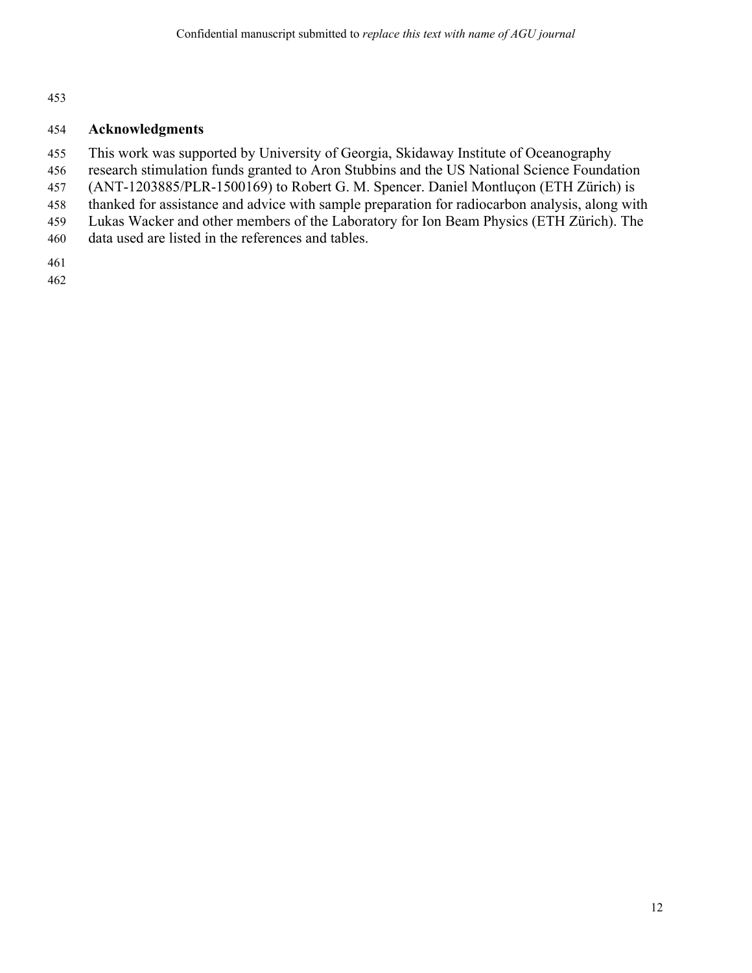#### 454 **Acknowledgments**

- 455 This work was supported by University of Georgia, Skidaway Institute of Oceanography
- 456 research stimulation funds granted to Aron Stubbins and the US National Science Foundation
- 457 (ANT-1203885/PLR-1500169) to Robert G. M. Spencer. Daniel Montluçon (ETH Zürich) is
- 458 thanked for assistance and advice with sample preparation for radiocarbon analysis, along with
- 459 Lukas Wacker and other members of the Laboratory for Ion Beam Physics (ETH Zürich). The
- 460 data used are listed in the references and tables.

461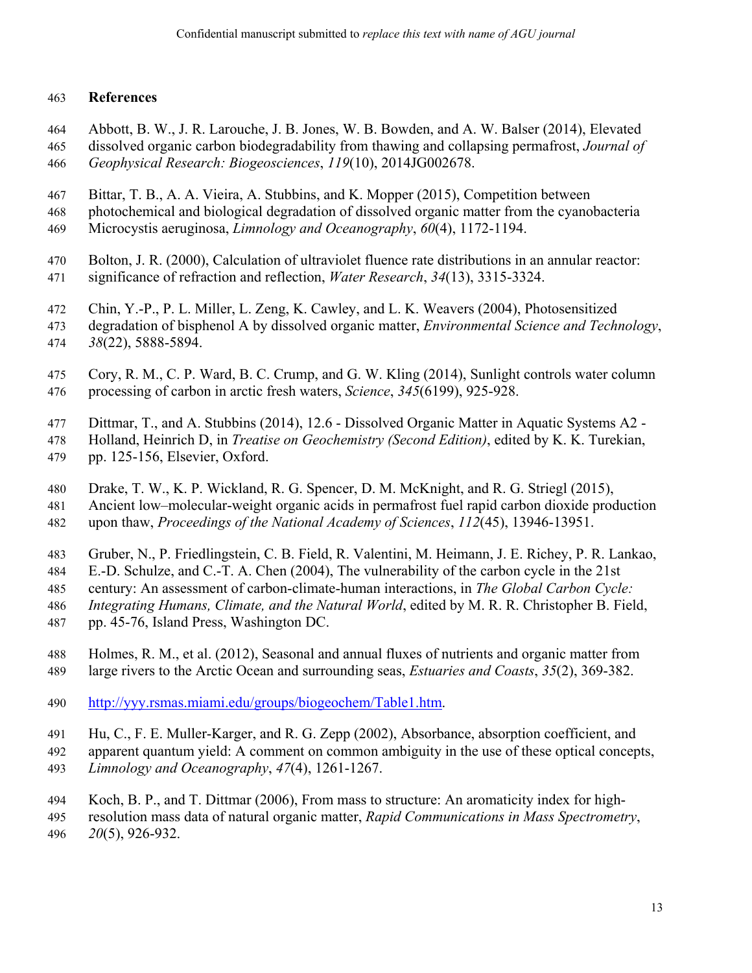#### 463 **References**

- 464 Abbott, B. W., J. R. Larouche, J. B. Jones, W. B. Bowden, and A. W. Balser (2014), Elevated
- 465 dissolved organic carbon biodegradability from thawing and collapsing permafrost, *Journal of*  466 *Geophysical Research: Biogeosciences*, *119*(10), 2014JG002678.
- 467 Bittar, T. B., A. A. Vieira, A. Stubbins, and K. Mopper (2015), Competition between
- 468 photochemical and biological degradation of dissolved organic matter from the cyanobacteria
- 469 Microcystis aeruginosa, *Limnology and Oceanography*, *60*(4), 1172-1194.
- 470 Bolton, J. R. (2000), Calculation of ultraviolet fluence rate distributions in an annular reactor: 471 significance of refraction and reflection, *Water Research*, *34*(13), 3315-3324.
- 472 Chin, Y.-P., P. L. Miller, L. Zeng, K. Cawley, and L. K. Weavers (2004), Photosensitized
- 473 degradation of bisphenol A by dissolved organic matter, *Environmental Science and Technology*,
- 474 *38*(22), 5888-5894.
- 475 Cory, R. M., C. P. Ward, B. C. Crump, and G. W. Kling (2014), Sunlight controls water column 476 processing of carbon in arctic fresh waters, *Science*, *345*(6199), 925-928.
- 477 Dittmar, T., and A. Stubbins (2014), 12.6 Dissolved Organic Matter in Aquatic Systems A2 -
- 478 Holland, Heinrich D, in *Treatise on Geochemistry (Second Edition)*, edited by K. K. Turekian, 479 pp. 125-156, Elsevier, Oxford.
- 480 Drake, T. W., K. P. Wickland, R. G. Spencer, D. M. McKnight, and R. G. Striegl (2015),
- 481 Ancient low–molecular-weight organic acids in permafrost fuel rapid carbon dioxide production 482 upon thaw, *Proceedings of the National Academy of Sciences*, *112*(45), 13946-13951.
- 483 Gruber, N., P. Friedlingstein, C. B. Field, R. Valentini, M. Heimann, J. E. Richey, P. R. Lankao,
- 484 E.-D. Schulze, and C.-T. A. Chen (2004), The vulnerability of the carbon cycle in the 21st
- 485 century: An assessment of carbon-climate-human interactions, in *The Global Carbon Cycle:*
- 486 *Integrating Humans, Climate, and the Natural World*, edited by M. R. R. Christopher B. Field,
- 487 pp. 45-76, Island Press, Washington DC.
- 488 Holmes, R. M., et al. (2012), Seasonal and annual fluxes of nutrients and organic matter from 489 large rivers to the Arctic Ocean and surrounding seas, *Estuaries and Coasts*, *35*(2), 369-382.
- 490 http://yyy.rsmas.miami.edu/groups/biogeochem/Table1.htm.
- 491 Hu, C., F. E. Muller-Karger, and R. G. Zepp (2002), Absorbance, absorption coefficient, and
- 492 apparent quantum yield: A comment on common ambiguity in the use of these optical concepts,
- 493 *Limnology and Oceanography*, *47*(4), 1261-1267.
- 494 Koch, B. P., and T. Dittmar (2006), From mass to structure: An aromaticity index for high-
- 495 resolution mass data of natural organic matter, *Rapid Communications in Mass Spectrometry*, 496 *20*(5), 926-932.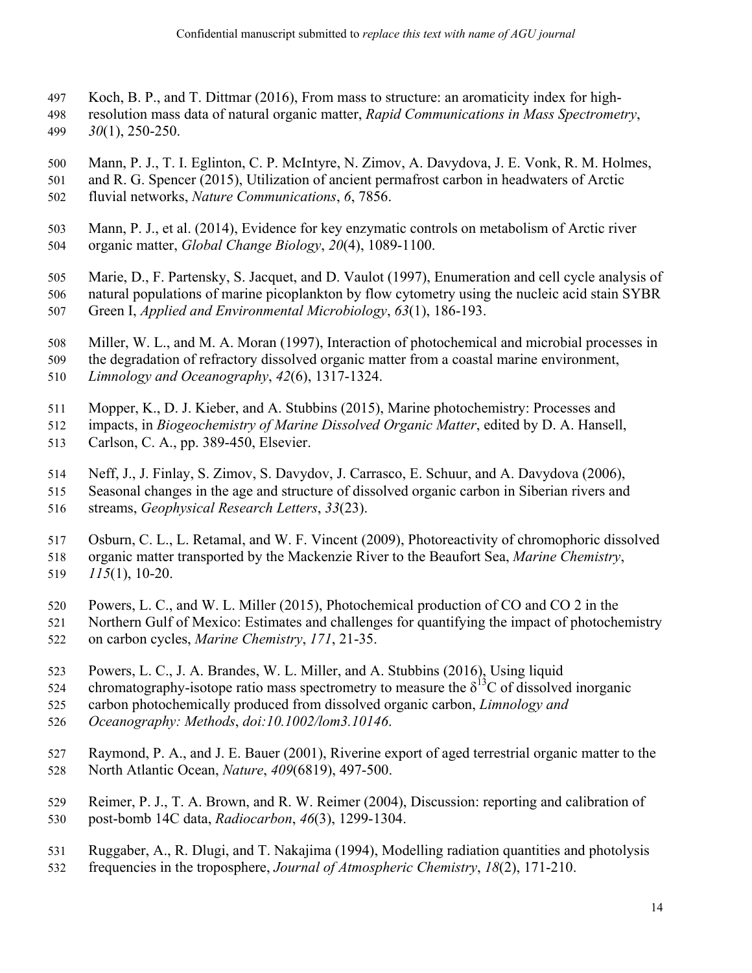- 497 Koch, B. P., and T. Dittmar (2016), From mass to structure: an aromaticity index for high-
- 498 resolution mass data of natural organic matter, *Rapid Communications in Mass Spectrometry*,
- 499 *30*(1), 250-250.
- 500 Mann, P. J., T. I. Eglinton, C. P. McIntyre, N. Zimov, A. Davydova, J. E. Vonk, R. M. Holmes,
- 501 and R. G. Spencer (2015), Utilization of ancient permafrost carbon in headwaters of Arctic 502 fluvial networks, *Nature Communications*, *6*, 7856.
- 503 Mann, P. J., et al. (2014), Evidence for key enzymatic controls on metabolism of Arctic river 504 organic matter, *Global Change Biology*, *20*(4), 1089-1100.
- 505 Marie, D., F. Partensky, S. Jacquet, and D. Vaulot (1997), Enumeration and cell cycle analysis of 506 natural populations of marine picoplankton by flow cytometry using the nucleic acid stain SYBR
- 507 Green I, *Applied and Environmental Microbiology*, *63*(1), 186-193.
- 508 Miller, W. L., and M. A. Moran (1997), Interaction of photochemical and microbial processes in
- 509 the degradation of refractory dissolved organic matter from a coastal marine environment, 510 *Limnology and Oceanography*, *42*(6), 1317-1324.
- 511 Mopper, K., D. J. Kieber, and A. Stubbins (2015), Marine photochemistry: Processes and
- 512 impacts, in *Biogeochemistry of Marine Dissolved Organic Matter*, edited by D. A. Hansell,
- 513 Carlson, C. A., pp. 389-450, Elsevier.
- 514 Neff, J., J. Finlay, S. Zimov, S. Davydov, J. Carrasco, E. Schuur, and A. Davydova (2006),
- 515 Seasonal changes in the age and structure of dissolved organic carbon in Siberian rivers and
- 516 streams, *Geophysical Research Letters*, *33*(23).
- 517 Osburn, C. L., L. Retamal, and W. F. Vincent (2009), Photoreactivity of chromophoric dissolved
- 518 organic matter transported by the Mackenzie River to the Beaufort Sea, *Marine Chemistry*, 519 *115*(1), 10-20.
- 520 Powers, L. C., and W. L. Miller (2015), Photochemical production of CO and CO 2 in the
- 521 Northern Gulf of Mexico: Estimates and challenges for quantifying the impact of photochemistry 522 on carbon cycles, *Marine Chemistry*, *171*, 21-35.
- 523 Powers, L. C., J. A. Brandes, W. L. Miller, and A. Stubbins (2016), Using liquid
- 524 chromatography-isotope ratio mass spectrometry to measure the  $\delta^{13}C$  of dissolved inorganic
- 525 carbon photochemically produced from dissolved organic carbon, *Limnology and*
- 526 *Oceanography: Methods*, *doi:10.1002/lom3.10146*.
- 527 Raymond, P. A., and J. E. Bauer (2001), Riverine export of aged terrestrial organic matter to the 528 North Atlantic Ocean, *Nature*, *409*(6819), 497-500.
- 529 Reimer, P. J., T. A. Brown, and R. W. Reimer (2004), Discussion: reporting and calibration of 530 post-bomb 14C data, *Radiocarbon*, *46*(3), 1299-1304.
- 531 Ruggaber, A., R. Dlugi, and T. Nakajima (1994), Modelling radiation quantities and photolysis
- 532 frequencies in the troposphere, *Journal of Atmospheric Chemistry*, *18*(2), 171-210.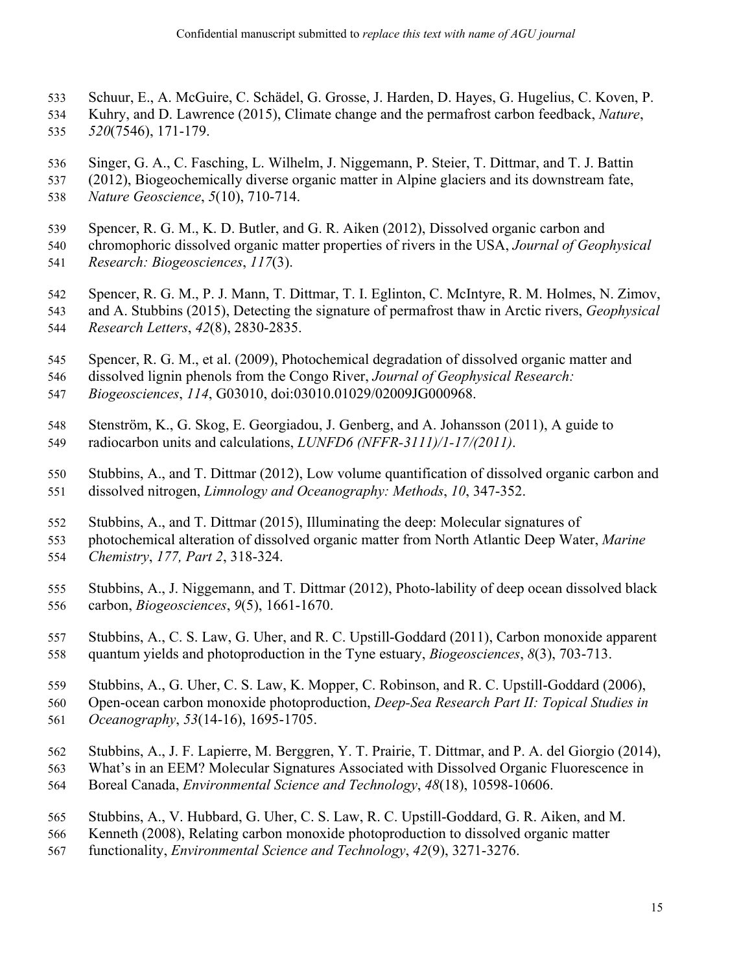- 533 Schuur, E., A. McGuire, C. Schädel, G. Grosse, J. Harden, D. Hayes, G. Hugelius, C. Koven, P.
- 534 Kuhry, and D. Lawrence (2015), Climate change and the permafrost carbon feedback, *Nature*, 535 *520*(7546), 171-179.
- 
- 536 Singer, G. A., C. Fasching, L. Wilhelm, J. Niggemann, P. Steier, T. Dittmar, and T. J. Battin
- 537 (2012), Biogeochemically diverse organic matter in Alpine glaciers and its downstream fate, 538 *Nature Geoscience*, *5*(10), 710-714.
- 539 Spencer, R. G. M., K. D. Butler, and G. R. Aiken (2012), Dissolved organic carbon and
- 540 chromophoric dissolved organic matter properties of rivers in the USA, *Journal of Geophysical*
- 541 *Research: Biogeosciences*, *117*(3).
- 542 Spencer, R. G. M., P. J. Mann, T. Dittmar, T. I. Eglinton, C. McIntyre, R. M. Holmes, N. Zimov,
- 543 and A. Stubbins (2015), Detecting the signature of permafrost thaw in Arctic rivers, *Geophysical*  544 *Research Letters*, *42*(8), 2830-2835.
- 545 Spencer, R. G. M., et al. (2009), Photochemical degradation of dissolved organic matter and
- 546 dissolved lignin phenols from the Congo River, *Journal of Geophysical Research:*
- 547 *Biogeosciences*, *114*, G03010, doi:03010.01029/02009JG000968.
- 548 Stenström, K., G. Skog, E. Georgiadou, J. Genberg, and A. Johansson (2011), A guide to 549 radiocarbon units and calculations, *LUNFD6 (NFFR-3111)/1-17/(2011)*.
- 550 Stubbins, A., and T. Dittmar (2012), Low volume quantification of dissolved organic carbon and 551 dissolved nitrogen, *Limnology and Oceanography: Methods*, *10*, 347-352.
- 552 Stubbins, A., and T. Dittmar (2015), Illuminating the deep: Molecular signatures of
- 553 photochemical alteration of dissolved organic matter from North Atlantic Deep Water, *Marine*  554 *Chemistry*, *177, Part 2*, 318-324.
- 555 Stubbins, A., J. Niggemann, and T. Dittmar (2012), Photo-lability of deep ocean dissolved black 556 carbon, *Biogeosciences*, *9*(5), 1661-1670.
- 557 Stubbins, A., C. S. Law, G. Uher, and R. C. Upstill-Goddard (2011), Carbon monoxide apparent 558 quantum yields and photoproduction in the Tyne estuary, *Biogeosciences*, *8*(3), 703-713.
- 559 Stubbins, A., G. Uher, C. S. Law, K. Mopper, C. Robinson, and R. C. Upstill-Goddard (2006),
- 560 Open-ocean carbon monoxide photoproduction, *Deep-Sea Research Part II: Topical Studies in*  561 *Oceanography*, *53*(14-16), 1695-1705.
- 562 Stubbins, A., J. F. Lapierre, M. Berggren, Y. T. Prairie, T. Dittmar, and P. A. del Giorgio (2014),
- 563 What's in an EEM? Molecular Signatures Associated with Dissolved Organic Fluorescence in
- 564 Boreal Canada, *Environmental Science and Technology*, *48*(18), 10598-10606.
- 565 Stubbins, A., V. Hubbard, G. Uher, C. S. Law, R. C. Upstill-Goddard, G. R. Aiken, and M.
- 566 Kenneth (2008), Relating carbon monoxide photoproduction to dissolved organic matter
- 567 functionality, *Environmental Science and Technology*, *42*(9), 3271-3276.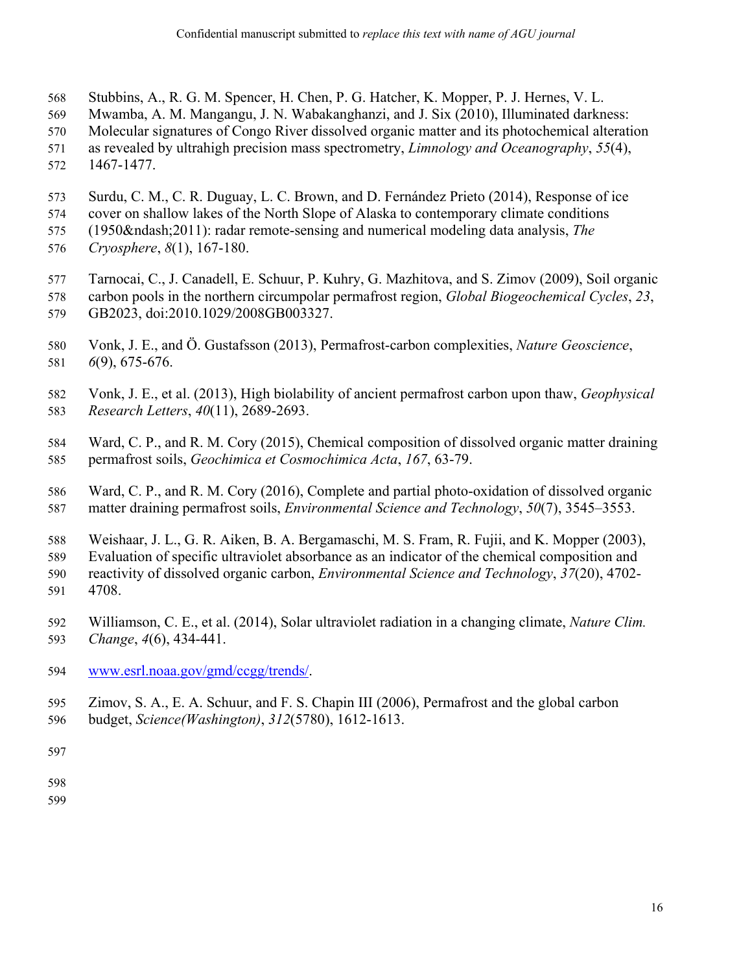- 568 Stubbins, A., R. G. M. Spencer, H. Chen, P. G. Hatcher, K. Mopper, P. J. Hernes, V. L.
- 569 Mwamba, A. M. Mangangu, J. N. Wabakanghanzi, and J. Six (2010), Illuminated darkness:
- 570 Molecular signatures of Congo River dissolved organic matter and its photochemical alteration
- 571 as revealed by ultrahigh precision mass spectrometry, *Limnology and Oceanography*, *55*(4),
- 572 1467-1477.
- 573 Surdu, C. M., C. R. Duguay, L. C. Brown, and D. Fernández Prieto (2014), Response of ice
- 574 cover on shallow lakes of the North Slope of Alaska to contemporary climate conditions
- 575 (1950–2011): radar remote-sensing and numerical modeling data analysis, *The*
- 576 *Cryosphere*, *8*(1), 167-180.
- 577 Tarnocai, C., J. Canadell, E. Schuur, P. Kuhry, G. Mazhitova, and S. Zimov (2009), Soil organic
- 578 carbon pools in the northern circumpolar permafrost region, *Global Biogeochemical Cycles*, *23*, 579 GB2023, doi:2010.1029/2008GB003327.
- 580 Vonk, J. E., and Ö. Gustafsson (2013), Permafrost-carbon complexities, *Nature Geoscience*, 581 *6*(9), 675-676.
- 582 Vonk, J. E., et al. (2013), High biolability of ancient permafrost carbon upon thaw, *Geophysical*  583 *Research Letters*, *40*(11), 2689-2693.
- 584 Ward, C. P., and R. M. Cory (2015), Chemical composition of dissolved organic matter draining 585 permafrost soils, *Geochimica et Cosmochimica Acta*, *167*, 63-79.
- 586 Ward, C. P., and R. M. Cory (2016), Complete and partial photo-oxidation of dissolved organic 587 matter draining permafrost soils, *Environmental Science and Technology*, *50*(7), 3545–3553.
- 588 Weishaar, J. L., G. R. Aiken, B. A. Bergamaschi, M. S. Fram, R. Fujii, and K. Mopper (2003),
- 589 Evaluation of specific ultraviolet absorbance as an indicator of the chemical composition and 590 reactivity of dissolved organic carbon, *Environmental Science and Technology*, *37*(20), 4702- 591 4708.
- 592 Williamson, C. E., et al. (2014), Solar ultraviolet radiation in a changing climate, *Nature Clim.*  593 *Change*, *4*(6), 434-441.
- 594 www.esrl.noaa.gov/gmd/ccgg/trends/.
- 595 Zimov, S. A., E. A. Schuur, and F. S. Chapin III (2006), Permafrost and the global carbon
- 596 budget, *Science(Washington)*, *312*(5780), 1612-1613.

598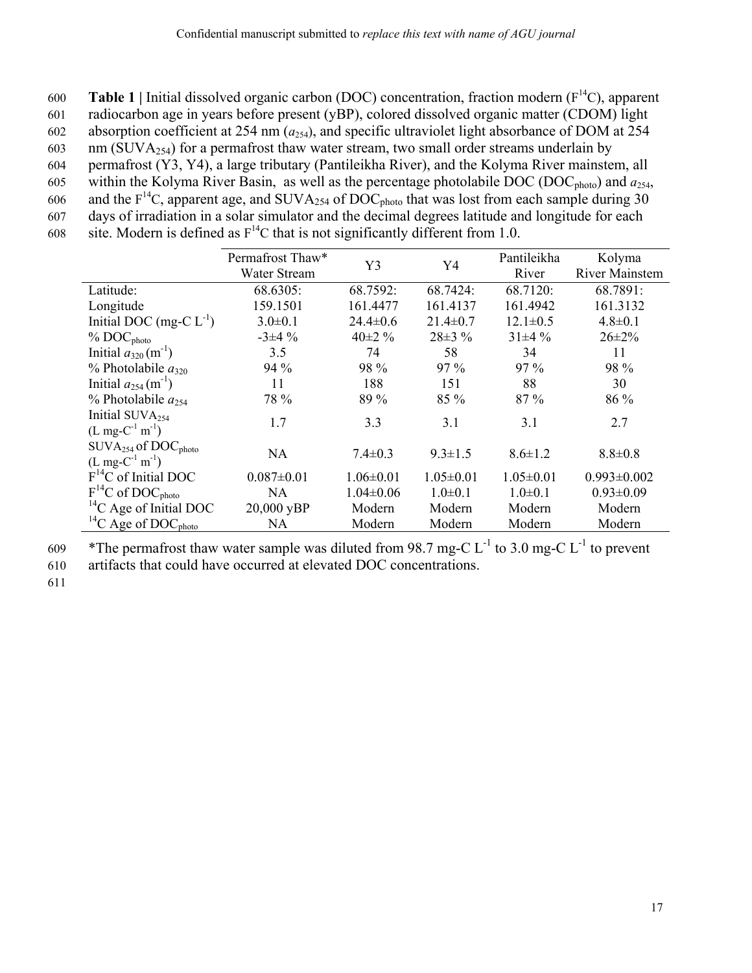**Table 1** | Initial dissolved organic carbon (DOC) concentration, fraction modern  $(F<sup>14</sup>C)$ , apparent 601 radiocarbon age in years before present (yBP), colored dissolved organic matter (CDOM) light 602 absorption coefficient at 254 nm (*a*254), and specific ultraviolet light absorbance of DOM at 254 603 nm (SUVA $_{254}$ ) for a permafrost thaw water stream, two small order streams underlain by 604 permafrost (Y3, Y4), a large tributary (Pantileikha River), and the Kolyma River mainstem, all 605 within the Kolyma River Basin, as well as the percentage photolabile DOC (DOC<sub>photo</sub>) and  $a_{254}$ , 606 and the  $F^{14}C$ , apparent age, and SUVA<sub>254</sub> of DOC<sub>photo</sub> that was lost from each sample during 30 607 days of irradiation in a solar simulator and the decimal degrees latitude and longitude for each 608 site. Modern is defined as  $F^{14}C$  that is not significantly different from 1.0.

|                                                    | Permafrost Thaw* | Y3<br>Y4        |                 | Pantileikha     | Kolyma                |  |
|----------------------------------------------------|------------------|-----------------|-----------------|-----------------|-----------------------|--|
|                                                    | Water Stream     |                 |                 | River           | <b>River Mainstem</b> |  |
| Latitude:                                          | 68.6305:         | 68.7592:        | 68.7424:        | 68.7120:        | 68.7891:              |  |
| Longitude                                          | 159.1501         | 161.4477        | 161.4137        | 161.4942        | 161.3132              |  |
| Initial DOC (mg-C $L^{-1}$ )                       | $3.0 \pm 0.1$    | $24.4 \pm 0.6$  | $21.4 \pm 0.7$  | $12.1 \pm 0.5$  | $4.8 \pm 0.1$         |  |
| % DOC <sub>photo</sub>                             | $-3\pm 4\%$      | 40 $\pm$ 2 %    | $28\pm3%$       | $31\pm4%$       | $26 \pm 2\%$          |  |
| Initial $a_{320}$ (m <sup>-1</sup> )               | 3.5              | 74              | 58              | 34              | 11                    |  |
| % Photolabile $a_{320}$                            | 94 %             | 98 %            | $97\%$          | $97\%$          | 98 %                  |  |
| Initial $a_{254}$ (m <sup>-1</sup> )               | 11               | 188             | 151             | 88              | 30                    |  |
| % Photolabile $a_{254}$                            | 78 %             | 89 %            | $85\%$          | $87\%$          | 86 %                  |  |
| Initial SUVA <sub>254</sub>                        | 1.7              | 3.3             | 3.1             | 3.1             | 2.7                   |  |
| $(L mg-C^{-1} m^{-1})$                             |                  |                 |                 |                 |                       |  |
| $\text{SUVA}_{254}$ of $\text{DOC}_{\text{photo}}$ | NA               | $7.4 \pm 0.3$   | $9.3 \pm 1.5$   | $8.6 \pm 1.2$   | $8.8 \pm 0.8$         |  |
| $(L mg-C^{-1} m^{-1})$                             |                  |                 |                 |                 |                       |  |
| $F^{14}C$ of Initial DOC                           | $0.087 \pm 0.01$ | $1.06 \pm 0.01$ | $1.05 \pm 0.01$ | $1.05 \pm 0.01$ | $0.993 \pm 0.002$     |  |
| $F^{14}C$ of DOC <sub>photo</sub>                  | NA               | $1.04 \pm 0.06$ | $1.0 \pm 0.1$   | $1.0 \pm 0.1$   | $0.93 \pm 0.09$       |  |
| ${}^{14}C$ Age of Initial DOC                      | 20,000 yBP       | Modern          | Modern          | Modern          | Modern                |  |
| <sup>14</sup> C Age of $DOCphoto$                  | NA               | Modern          | Modern          | Modern          | Modern                |  |

609 \*The permafrost thaw water sample was diluted from 98.7 mg-C  $L^{-1}$  to 3.0 mg-C  $L^{-1}$  to prevent

610 artifacts that could have occurred at elevated DOC concentrations.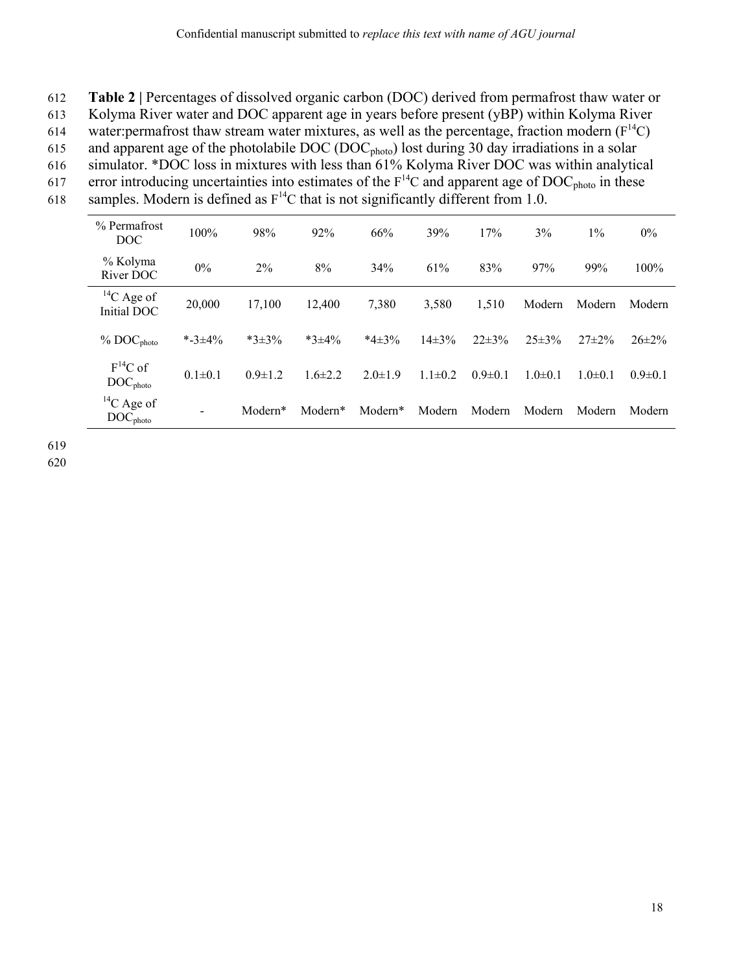- 612 **Table 2 |** Percentages of dissolved organic carbon (DOC) derived from permafrost thaw water or
- 613 Kolyma River water and DOC apparent age in years before present (yBP) within Kolyma River
- 614 water: permafrost thaw stream water mixtures, as well as the percentage, fraction modern  $(F^{14}C)$
- 615 and apparent age of the photolabile DOC (DOC<sub>photo</sub>) lost during 30 day irradiations in a solar
- 616 simulator. \*DOC loss in mixtures with less than 61% Kolyma River DOC was within analytical
- error introducing uncertainties into estimates of the  $F<sup>14</sup>C$  and apparent age of DOC<sub>photo</sub> in these 618 samples. Modern is defined as  $F^{14}C$  that is not significantly different from 1.0.
- 

| % Permafrost<br><b>DOC</b>             | 100%          | 98%           | 92%           | 66%           | 39%           | 17%           | 3%            | $1\%$         | $0\%$         |
|----------------------------------------|---------------|---------------|---------------|---------------|---------------|---------------|---------------|---------------|---------------|
| % Kolyma<br>River DOC                  | $0\%$         | 2%            | 8%            | 34%           | 61%           | 83%           | 97%           | 99%           | 100%          |
| ${}^{14}C$ Age of<br>Initial DOC       | 20,000        | 17,100        | 12,400        | 7,380         | 3,580         | 1,510         | Modern        | Modern        | Modern        |
| % DOC <sub>photo</sub>                 | *-3 $\pm$ 4%  | $*3 \pm 3\%$  | $*3\pm4\%$    | *4 $\pm$ 3%   | $14\pm3\%$    | $22\pm3%$     | $25\pm3\%$    | $27\pm2\%$    | $26\pm2\%$    |
| $F^{14}C$ of<br>$\rm{DOC}_{\rm photo}$ | $0.1 \pm 0.1$ | $0.9 \pm 1.2$ | $1.6 \pm 2.2$ | $2.0 \pm 1.9$ | $1.1 \pm 0.2$ | $0.9 \pm 0.1$ | $1.0 \pm 0.1$ | $1.0 \pm 0.1$ | $0.9 \pm 0.1$ |
| ${}^{14}C$ Age of<br>$DOC_{photo}$     | -             | Modern*       | Modern*       | Modern*       | Modern        | Modern        | Modern        | Modern        | Modern        |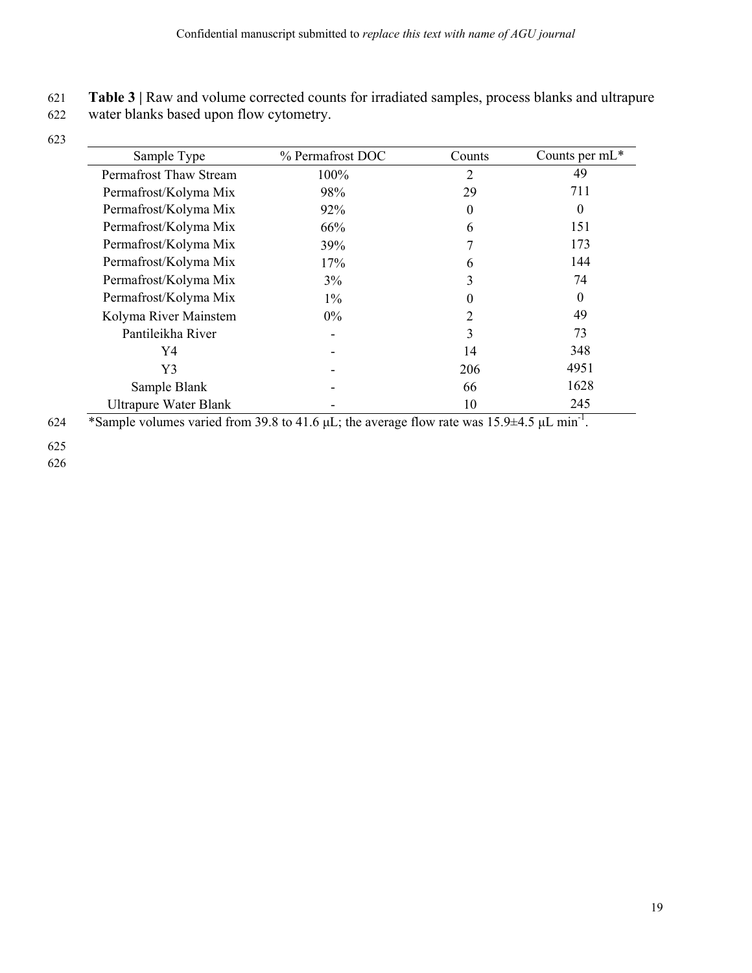## 621 **Table 3 |** Raw and volume corrected counts for irradiated samples, process blanks and ultrapure

622 water blanks based upon flow cytometry.

623

| Sample Type                                                             | % Permafrost DOC                                                                                         | Counts                | Counts per $mL^*$ |
|-------------------------------------------------------------------------|----------------------------------------------------------------------------------------------------------|-----------------------|-------------------|
| Permafrost Thaw Stream                                                  | 100%                                                                                                     | 2                     | 49                |
| Permafrost/Kolyma Mix                                                   | 98%                                                                                                      | 29                    | 711               |
| Permafrost/Kolyma Mix                                                   | 92%                                                                                                      | $\theta$              | 0                 |
| Permafrost/Kolyma Mix                                                   | 66%                                                                                                      | 6                     | 151               |
| Permafrost/Kolyma Mix                                                   | 39%                                                                                                      | 7                     | 173               |
| Permafrost/Kolyma Mix                                                   | 17%                                                                                                      | 6                     | 144               |
| Permafrost/Kolyma Mix                                                   | 3%                                                                                                       | 3                     | 74                |
| Permafrost/Kolyma Mix                                                   | $1\%$                                                                                                    | 0                     | 0                 |
| Kolyma River Mainstem                                                   | $0\%$                                                                                                    | 2                     | 49                |
| Pantileikha River                                                       |                                                                                                          | 3                     | 73                |
| Y4                                                                      |                                                                                                          | 14                    | 348               |
| Y3                                                                      |                                                                                                          | 206                   | 4951              |
| Sample Blank                                                            |                                                                                                          | 66                    | 1628              |
| <b>Ultrapure Water Blank</b>                                            |                                                                                                          | 10                    | 245               |
| $\sim$<br>$\cdot$ $\cdot$ $\cdot$<br>$\sim$ $\sim$ $\sim$ $\sim$ $\sim$ | $\mathbf{a} \mathbf{a} \mathbf{a}$ .<br>$\mathbf{A}$ $\mathbf{A}$ $\mathbf{A}$ $\mathbf{A}$ $\mathbf{A}$ | $\sim$<br>$1 - 0.1 -$ |                   |

624 \*Sample volumes varied from 39.8 to 41.6  $\mu$ L; the average flow rate was 15.9 $\pm$ 4.5  $\mu$ L min<sup>-1</sup>.

625